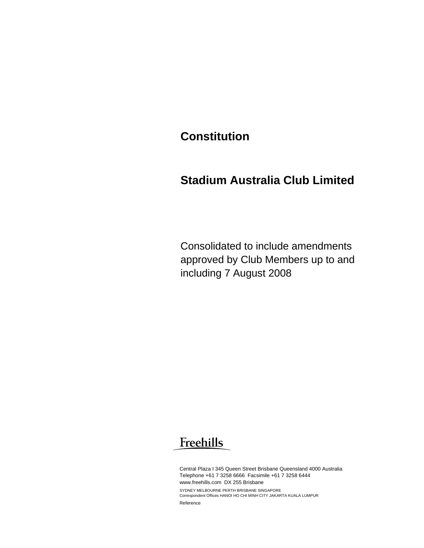## **Constitution**

## **Stadium Australia Club Limited**

Consolidated to include amendments approved by Club Members up to and including 7 August 2008

# Freehills

Central Plaza I 345 Queen Street Brisbane Queensland 4000 Australia Telephone +61 7 3258 6666 Facsimile +61 7 3258 6444 www.freehills.com DX 255 Brisbane SYDNEY MELBOURNE PERTH BRISBANE SINGAPORE Correspondent Offices HANOI HO CHI MINH CITY JAKARTA KUALA LUMPUR Reference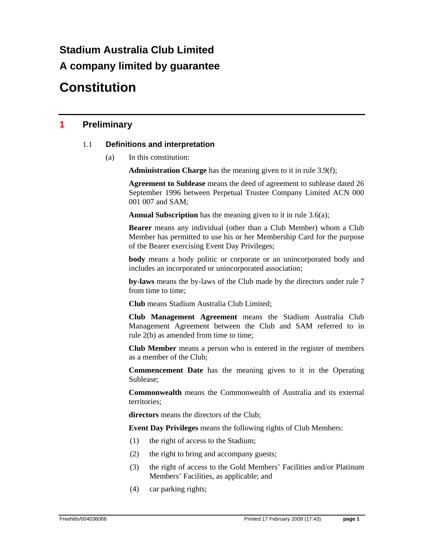# **Stadium Australia Club Limited A company limited by guarantee**

# **Constitution**

### **1 Preliminary**

### 1.1 **Definitions and interpretation**

(a) In this constitution:

**Administration Charge** has the meaning given to it in rule 3.9(f);

**Agreement to Sublease** means the deed of agreement to sublease dated 26 September 1996 between Perpetual Trustee Company Limited ACN 000 001 007 and SAM;

**Annual Subscription** has the meaning given to it in rule 3.6(a);

**Bearer** means any individual (other than a Club Member) whom a Club Member has permitted to use his or her Membership Card for the purpose of the Bearer exercising Event Day Privileges;

**body** means a body politic or corporate or an unincorporated body and includes an incorporated or unincorporated association;

**by-laws** means the by-laws of the Club made by the directors under rule 7 from time to time;

**Club** means Stadium Australia Club Limited;

**Club Management Agreement** means the Stadium Australia Club Management Agreement between the Club and SAM referred to in rule 2(b) as amended from time to time;

**Club Member** means a person who is entered in the register of members as a member of the Club;

**Commencement Date** has the meaning given to it in the Operating Sublease;

**Commonwealth** means the Commonwealth of Australia and its external territories;

**directors** means the directors of the Club;

**Event Day Privileges** means the following rights of Club Members:

- (1) the right of access to the Stadium;
- (2) the right to bring and accompany guests;
- (3) the right of access to the Gold Members' Facilities and/or Platinum Members' Facilities, as applicable; and
- (4) car parking rights;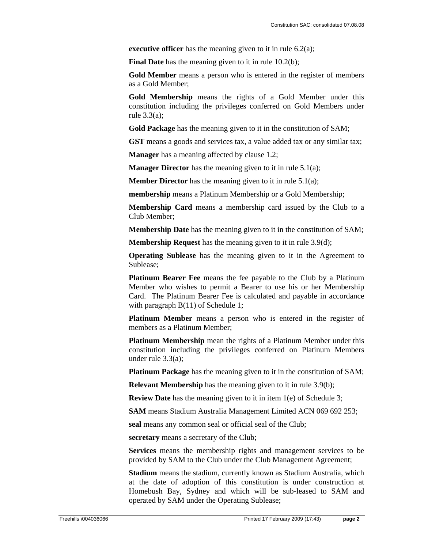**executive officer** has the meaning given to it in rule 6.2(a);

**Final Date** has the meaning given to it in rule 10.2(b);

**Gold Member** means a person who is entered in the register of members as a Gold Member;

**Gold Membership** means the rights of a Gold Member under this constitution including the privileges conferred on Gold Members under rule 3.3(a);

**Gold Package** has the meaning given to it in the constitution of SAM;

**GST** means a goods and services tax, a value added tax or any similar tax;

**Manager** has a meaning affected by clause 1.2;

**Manager Director** has the meaning given to it in rule 5.1(a);

**Member Director** has the meaning given to it in rule 5.1(a);

**membership** means a Platinum Membership or a Gold Membership;

**Membership Card** means a membership card issued by the Club to a Club Member;

**Membership Date** has the meaning given to it in the constitution of SAM;

**Membership Request** has the meaning given to it in rule 3.9(d);

**Operating Sublease** has the meaning given to it in the Agreement to Sublease;

**Platinum Bearer Fee** means the fee payable to the Club by a Platinum Member who wishes to permit a Bearer to use his or her Membership Card. The Platinum Bearer Fee is calculated and payable in accordance with paragraph B(11) of Schedule 1;

**Platinum Member** means a person who is entered in the register of members as a Platinum Member;

**Platinum Membership** mean the rights of a Platinum Member under this constitution including the privileges conferred on Platinum Members under rule 3.3(a);

**Platinum Package** has the meaning given to it in the constitution of SAM;

**Relevant Membership** has the meaning given to it in rule 3.9(b);

**Review Date** has the meaning given to it in item 1(e) of Schedule 3;

**SAM** means Stadium Australia Management Limited ACN 069 692 253;

**seal** means any common seal or official seal of the Club;

**secretary** means a secretary of the Club;

**Services** means the membership rights and management services to be provided by SAM to the Club under the Club Management Agreement;

**Stadium** means the stadium, currently known as Stadium Australia, which at the date of adoption of this constitution is under construction at Homebush Bay, Sydney and which will be sub-leased to SAM and operated by SAM under the Operating Sublease;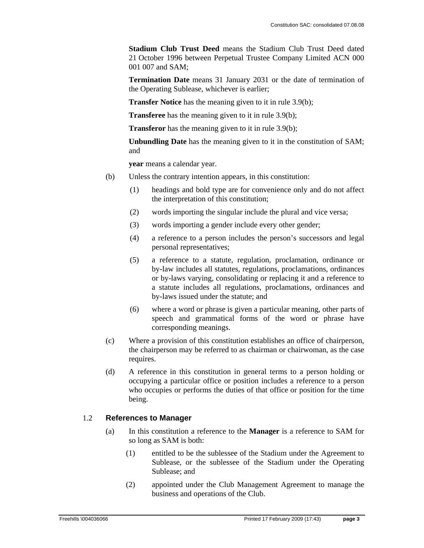**Stadium Club Trust Deed** means the Stadium Club Trust Deed dated 21 October 1996 between Perpetual Trustee Company Limited ACN 000 001 007 and SAM;

**Termination Date** means 31 January 2031 or the date of termination of the Operating Sublease, whichever is earlier;

**Transfer Notice** has the meaning given to it in rule 3.9(b);

**Transferee** has the meaning given to it in rule 3.9(b);

**Transferor** has the meaning given to it in rule 3.9(b);

**Unbundling Date** has the meaning given to it in the constitution of SAM; and

**year** means a calendar year.

- (b) Unless the contrary intention appears, in this constitution:
	- (1) headings and bold type are for convenience only and do not affect the interpretation of this constitution;
	- (2) words importing the singular include the plural and vice versa;
	- (3) words importing a gender include every other gender;
	- (4) a reference to a person includes the person's successors and legal personal representatives;
	- (5) a reference to a statute, regulation, proclamation, ordinance or by-law includes all statutes, regulations, proclamations, ordinances or by-laws varying, consolidating or replacing it and a reference to a statute includes all regulations, proclamations, ordinances and by-laws issued under the statute; and
	- (6) where a word or phrase is given a particular meaning, other parts of speech and grammatical forms of the word or phrase have corresponding meanings.
- (c) Where a provision of this constitution establishes an office of chairperson, the chairperson may be referred to as chairman or chairwoman, as the case requires.
- (d) A reference in this constitution in general terms to a person holding or occupying a particular office or position includes a reference to a person who occupies or performs the duties of that office or position for the time being.

### 1.2 **References to Manager**

- (a) In this constitution a reference to the **Manager** is a reference to SAM for so long as SAM is both:
	- (1) entitled to be the sublessee of the Stadium under the Agreement to Sublease, or the sublessee of the Stadium under the Operating Sublease; and
	- (2) appointed under the Club Management Agreement to manage the business and operations of the Club.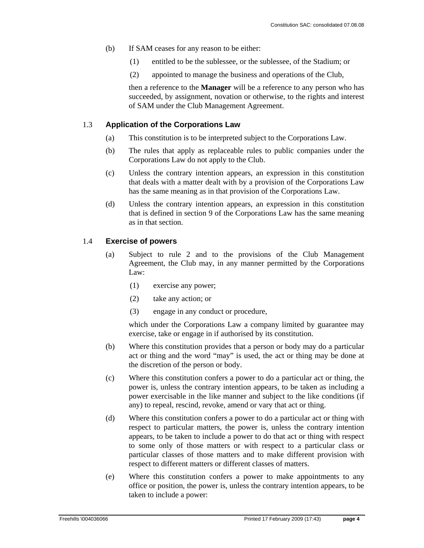- (b) If SAM ceases for any reason to be either:
	- (1) entitled to be the sublessee, or the sublessee, of the Stadium; or
	- (2) appointed to manage the business and operations of the Club,

then a reference to the **Manager** will be a reference to any person who has succeeded, by assignment, novation or otherwise, to the rights and interest of SAM under the Club Management Agreement.

### 1.3 **Application of the Corporations Law**

- (a) This constitution is to be interpreted subject to the Corporations Law.
- (b) The rules that apply as replaceable rules to public companies under the Corporations Law do not apply to the Club.
- (c) Unless the contrary intention appears, an expression in this constitution that deals with a matter dealt with by a provision of the Corporations Law has the same meaning as in that provision of the Corporations Law.
- (d) Unless the contrary intention appears, an expression in this constitution that is defined in section 9 of the Corporations Law has the same meaning as in that section.

### 1.4 **Exercise of powers**

- (a) Subject to rule 2 and to the provisions of the Club Management Agreement, the Club may, in any manner permitted by the Corporations Law:
	- (1) exercise any power;
	- (2) take any action; or
	- (3) engage in any conduct or procedure,

which under the Corporations Law a company limited by guarantee may exercise, take or engage in if authorised by its constitution.

- (b) Where this constitution provides that a person or body may do a particular act or thing and the word "may" is used, the act or thing may be done at the discretion of the person or body.
- (c) Where this constitution confers a power to do a particular act or thing, the power is, unless the contrary intention appears, to be taken as including a power exercisable in the like manner and subject to the like conditions (if any) to repeal, rescind, revoke, amend or vary that act or thing.
- (d) Where this constitution confers a power to do a particular act or thing with respect to particular matters, the power is, unless the contrary intention appears, to be taken to include a power to do that act or thing with respect to some only of those matters or with respect to a particular class or particular classes of those matters and to make different provision with respect to different matters or different classes of matters.
- (e) Where this constitution confers a power to make appointments to any office or position, the power is, unless the contrary intention appears, to be taken to include a power: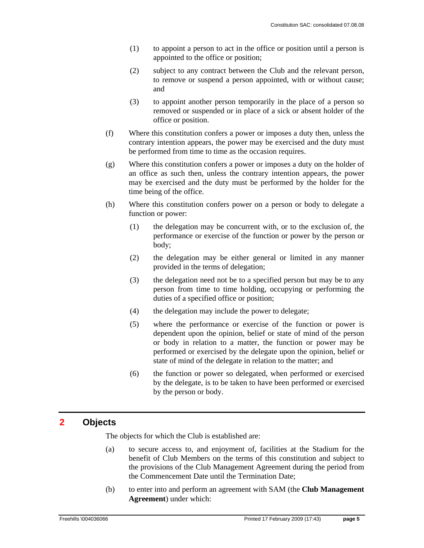- (1) to appoint a person to act in the office or position until a person is appointed to the office or position;
- (2) subject to any contract between the Club and the relevant person, to remove or suspend a person appointed, with or without cause; and
- (3) to appoint another person temporarily in the place of a person so removed or suspended or in place of a sick or absent holder of the office or position.
- (f) Where this constitution confers a power or imposes a duty then, unless the contrary intention appears, the power may be exercised and the duty must be performed from time to time as the occasion requires.
- (g) Where this constitution confers a power or imposes a duty on the holder of an office as such then, unless the contrary intention appears, the power may be exercised and the duty must be performed by the holder for the time being of the office.
- (h) Where this constitution confers power on a person or body to delegate a function or power:
	- (1) the delegation may be concurrent with, or to the exclusion of, the performance or exercise of the function or power by the person or body;
	- (2) the delegation may be either general or limited in any manner provided in the terms of delegation;
	- (3) the delegation need not be to a specified person but may be to any person from time to time holding, occupying or performing the duties of a specified office or position;
	- (4) the delegation may include the power to delegate;
	- (5) where the performance or exercise of the function or power is dependent upon the opinion, belief or state of mind of the person or body in relation to a matter, the function or power may be performed or exercised by the delegate upon the opinion, belief or state of mind of the delegate in relation to the matter; and
	- (6) the function or power so delegated, when performed or exercised by the delegate, is to be taken to have been performed or exercised by the person or body.

### **2 Objects**

The objects for which the Club is established are:

- (a) to secure access to, and enjoyment of, facilities at the Stadium for the benefit of Club Members on the terms of this constitution and subject to the provisions of the Club Management Agreement during the period from the Commencement Date until the Termination Date;
- (b) to enter into and perform an agreement with SAM (the **Club Management Agreement**) under which: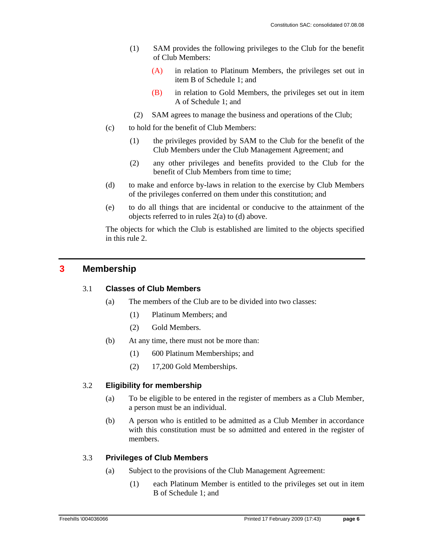- (1) SAM provides the following privileges to the Club for the benefit of Club Members:
	- (A) in relation to Platinum Members, the privileges set out in item B of Schedule 1; and
	- (B) in relation to Gold Members, the privileges set out in item A of Schedule 1; and
	- (2) SAM agrees to manage the business and operations of the Club;
- (c) to hold for the benefit of Club Members:
	- (1) the privileges provided by SAM to the Club for the benefit of the Club Members under the Club Management Agreement; and
	- (2) any other privileges and benefits provided to the Club for the benefit of Club Members from time to time;
- (d) to make and enforce by-laws in relation to the exercise by Club Members of the privileges conferred on them under this constitution; and
- (e) to do all things that are incidental or conducive to the attainment of the objects referred to in rules 2(a) to (d) above.

The objects for which the Club is established are limited to the objects specified in this rule 2.

### **3 Membership**

### 3.1 **Classes of Club Members**

- (a) The members of the Club are to be divided into two classes:
	- (1) Platinum Members; and
	- (2) Gold Members.
- (b) At any time, there must not be more than:
	- (1) 600 Platinum Memberships; and
	- (2) 17,200 Gold Memberships.

### 3.2 **Eligibility for membership**

- (a) To be eligible to be entered in the register of members as a Club Member, a person must be an individual.
- (b) A person who is entitled to be admitted as a Club Member in accordance with this constitution must be so admitted and entered in the register of members.

### 3.3 **Privileges of Club Members**

- (a) Subject to the provisions of the Club Management Agreement:
	- (1) each Platinum Member is entitled to the privileges set out in item B of Schedule 1; and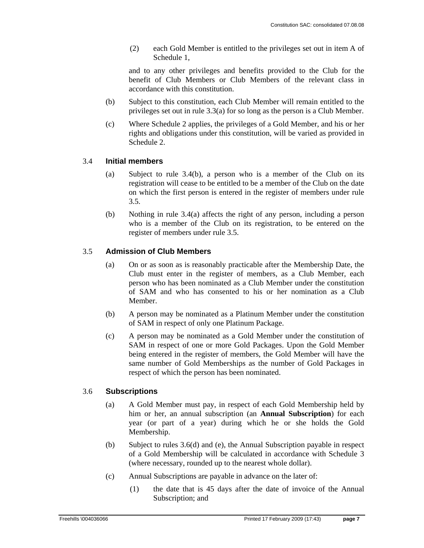(2) each Gold Member is entitled to the privileges set out in item A of Schedule 1,

and to any other privileges and benefits provided to the Club for the benefit of Club Members or Club Members of the relevant class in accordance with this constitution.

- (b) Subject to this constitution, each Club Member will remain entitled to the privileges set out in rule 3.3(a) for so long as the person is a Club Member.
- (c) Where Schedule 2 applies, the privileges of a Gold Member, and his or her rights and obligations under this constitution, will be varied as provided in Schedule 2.

### 3.4 **Initial members**

- (a) Subject to rule 3.4(b), a person who is a member of the Club on its registration will cease to be entitled to be a member of the Club on the date on which the first person is entered in the register of members under rule 3.5.
- (b) Nothing in rule 3.4(a) affects the right of any person, including a person who is a member of the Club on its registration, to be entered on the register of members under rule 3.5.

### 3.5 **Admission of Club Members**

- (a) On or as soon as is reasonably practicable after the Membership Date, the Club must enter in the register of members, as a Club Member, each person who has been nominated as a Club Member under the constitution of SAM and who has consented to his or her nomination as a Club Member.
- (b) A person may be nominated as a Platinum Member under the constitution of SAM in respect of only one Platinum Package.
- (c) A person may be nominated as a Gold Member under the constitution of SAM in respect of one or more Gold Packages. Upon the Gold Member being entered in the register of members, the Gold Member will have the same number of Gold Memberships as the number of Gold Packages in respect of which the person has been nominated.

### 3.6 **Subscriptions**

- (a) A Gold Member must pay, in respect of each Gold Membership held by him or her, an annual subscription (an **Annual Subscription**) for each year (or part of a year) during which he or she holds the Gold Membership.
- (b) Subject to rules 3.6(d) and (e), the Annual Subscription payable in respect of a Gold Membership will be calculated in accordance with Schedule 3 (where necessary, rounded up to the nearest whole dollar).
- (c) Annual Subscriptions are payable in advance on the later of:
	- (1) the date that is 45 days after the date of invoice of the Annual Subscription; and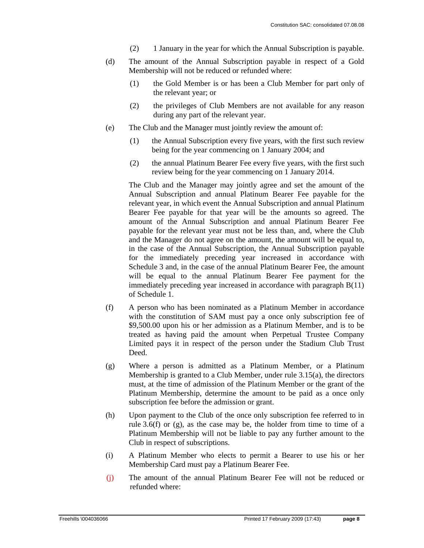- (2) 1 January in the year for which the Annual Subscription is payable.
- (d) The amount of the Annual Subscription payable in respect of a Gold Membership will not be reduced or refunded where:
	- (1) the Gold Member is or has been a Club Member for part only of the relevant year; or
	- (2) the privileges of Club Members are not available for any reason during any part of the relevant year.
- (e) The Club and the Manager must jointly review the amount of:
	- (1) the Annual Subscription every five years, with the first such review being for the year commencing on 1 January 2004; and
	- (2) the annual Platinum Bearer Fee every five years, with the first such review being for the year commencing on 1 January 2014.

 The Club and the Manager may jointly agree and set the amount of the Annual Subscription and annual Platinum Bearer Fee payable for the relevant year, in which event the Annual Subscription and annual Platinum Bearer Fee payable for that year will be the amounts so agreed. The amount of the Annual Subscription and annual Platinum Bearer Fee payable for the relevant year must not be less than, and, where the Club and the Manager do not agree on the amount, the amount will be equal to, in the case of the Annual Subscription, the Annual Subscription payable for the immediately preceding year increased in accordance with Schedule 3 and, in the case of the annual Platinum Bearer Fee, the amount will be equal to the annual Platinum Bearer Fee payment for the immediately preceding year increased in accordance with paragraph B(11) of Schedule 1.

- (f) A person who has been nominated as a Platinum Member in accordance with the constitution of SAM must pay a once only subscription fee of \$9,500.00 upon his or her admission as a Platinum Member, and is to be treated as having paid the amount when Perpetual Trustee Company Limited pays it in respect of the person under the Stadium Club Trust Deed.
- (g) Where a person is admitted as a Platinum Member, or a Platinum Membership is granted to a Club Member, under rule 3.15(a), the directors must, at the time of admission of the Platinum Member or the grant of the Platinum Membership, determine the amount to be paid as a once only subscription fee before the admission or grant.
- (h) Upon payment to the Club of the once only subscription fee referred to in rule 3.6(f) or (g), as the case may be, the holder from time to time of a Platinum Membership will not be liable to pay any further amount to the Club in respect of subscriptions.
- (i) A Platinum Member who elects to permit a Bearer to use his or her Membership Card must pay a Platinum Bearer Fee.
- (j) The amount of the annual Platinum Bearer Fee will not be reduced or refunded where: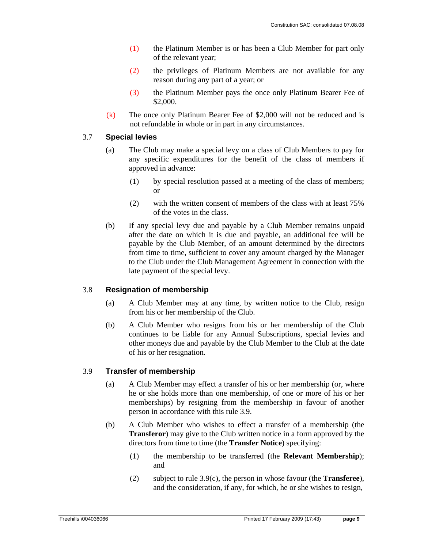- (1) the Platinum Member is or has been a Club Member for part only of the relevant year;
- (2) the privileges of Platinum Members are not available for any reason during any part of a year; or
- (3) the Platinum Member pays the once only Platinum Bearer Fee of \$2,000.
- (k) The once only Platinum Bearer Fee of \$2,000 will not be reduced and is not refundable in whole or in part in any circumstances.

### 3.7 **Special levies**

- (a) The Club may make a special levy on a class of Club Members to pay for any specific expenditures for the benefit of the class of members if approved in advance:
	- (1) by special resolution passed at a meeting of the class of members; or
	- (2) with the written consent of members of the class with at least 75% of the votes in the class.
- (b) If any special levy due and payable by a Club Member remains unpaid after the date on which it is due and payable, an additional fee will be payable by the Club Member, of an amount determined by the directors from time to time, sufficient to cover any amount charged by the Manager to the Club under the Club Management Agreement in connection with the late payment of the special levy.

### 3.8 **Resignation of membership**

- (a) A Club Member may at any time, by written notice to the Club, resign from his or her membership of the Club.
- (b) A Club Member who resigns from his or her membership of the Club continues to be liable for any Annual Subscriptions, special levies and other moneys due and payable by the Club Member to the Club at the date of his or her resignation.

### 3.9 **Transfer of membership**

- (a) A Club Member may effect a transfer of his or her membership (or, where he or she holds more than one membership, of one or more of his or her memberships) by resigning from the membership in favour of another person in accordance with this rule 3.9.
- (b) A Club Member who wishes to effect a transfer of a membership (the **Transferor**) may give to the Club written notice in a form approved by the directors from time to time (the **Transfer Notice**) specifying:
	- (1) the membership to be transferred (the **Relevant Membership**); and
	- (2) subject to rule 3.9(c), the person in whose favour (the **Transferee**), and the consideration, if any, for which, he or she wishes to resign,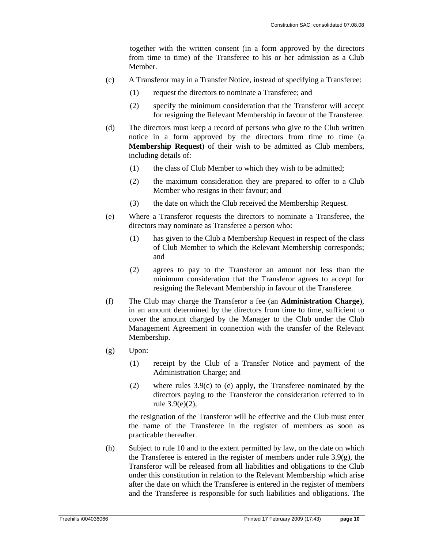together with the written consent (in a form approved by the directors from time to time) of the Transferee to his or her admission as a Club Member.

- (c) A Transferor may in a Transfer Notice, instead of specifying a Transferee:
	- (1) request the directors to nominate a Transferee; and
	- (2) specify the minimum consideration that the Transferor will accept for resigning the Relevant Membership in favour of the Transferee.
- (d) The directors must keep a record of persons who give to the Club written notice in a form approved by the directors from time to time (a **Membership Request**) of their wish to be admitted as Club members, including details of:
	- (1) the class of Club Member to which they wish to be admitted;
	- (2) the maximum consideration they are prepared to offer to a Club Member who resigns in their favour; and
	- (3) the date on which the Club received the Membership Request.
- (e) Where a Transferor requests the directors to nominate a Transferee, the directors may nominate as Transferee a person who:
	- (1) has given to the Club a Membership Request in respect of the class of Club Member to which the Relevant Membership corresponds; and
	- (2) agrees to pay to the Transferor an amount not less than the minimum consideration that the Transferor agrees to accept for resigning the Relevant Membership in favour of the Transferee.
- (f) The Club may charge the Transferor a fee (an **Administration Charge**), in an amount determined by the directors from time to time, sufficient to cover the amount charged by the Manager to the Club under the Club Management Agreement in connection with the transfer of the Relevant Membership.
- (g) Upon:
	- (1) receipt by the Club of a Transfer Notice and payment of the Administration Charge; and
	- (2) where rules 3.9(c) to (e) apply, the Transferee nominated by the directors paying to the Transferor the consideration referred to in rule 3.9(e)(2),

the resignation of the Transferor will be effective and the Club must enter the name of the Transferee in the register of members as soon as practicable thereafter.

(h) Subject to rule 10 and to the extent permitted by law, on the date on which the Transferee is entered in the register of members under rule  $3.9(g)$ , the Transferor will be released from all liabilities and obligations to the Club under this constitution in relation to the Relevant Membership which arise after the date on which the Transferee is entered in the register of members and the Transferee is responsible for such liabilities and obligations. The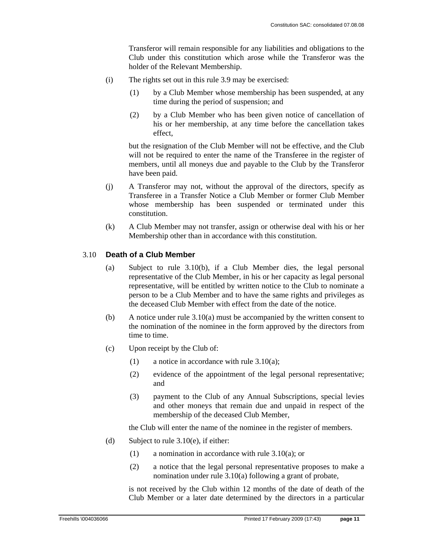Transferor will remain responsible for any liabilities and obligations to the Club under this constitution which arose while the Transferor was the holder of the Relevant Membership.

- (i) The rights set out in this rule 3.9 may be exercised:
	- (1) by a Club Member whose membership has been suspended, at any time during the period of suspension; and
	- (2) by a Club Member who has been given notice of cancellation of his or her membership, at any time before the cancellation takes effect,

but the resignation of the Club Member will not be effective, and the Club will not be required to enter the name of the Transferee in the register of members, until all moneys due and payable to the Club by the Transferor have been paid.

- (j) A Transferor may not, without the approval of the directors, specify as Transferee in a Transfer Notice a Club Member or former Club Member whose membership has been suspended or terminated under this constitution.
- (k) A Club Member may not transfer, assign or otherwise deal with his or her Membership other than in accordance with this constitution.

### 3.10 **Death of a Club Member**

- (a) Subject to rule 3.10(b), if a Club Member dies, the legal personal representative of the Club Member, in his or her capacity as legal personal representative, will be entitled by written notice to the Club to nominate a person to be a Club Member and to have the same rights and privileges as the deceased Club Member with effect from the date of the notice.
- (b) A notice under rule 3.10(a) must be accompanied by the written consent to the nomination of the nominee in the form approved by the directors from time to time.
- (c) Upon receipt by the Club of:
	- (1) a notice in accordance with rule 3.10(a);
	- (2) evidence of the appointment of the legal personal representative; and
	- (3) payment to the Club of any Annual Subscriptions, special levies and other moneys that remain due and unpaid in respect of the membership of the deceased Club Member,

the Club will enter the name of the nominee in the register of members.

- (d) Subject to rule  $3.10(e)$ , if either:
	- (1) a nomination in accordance with rule 3.10(a); or
	- (2) a notice that the legal personal representative proposes to make a nomination under rule 3.10(a) following a grant of probate,

is not received by the Club within 12 months of the date of death of the Club Member or a later date determined by the directors in a particular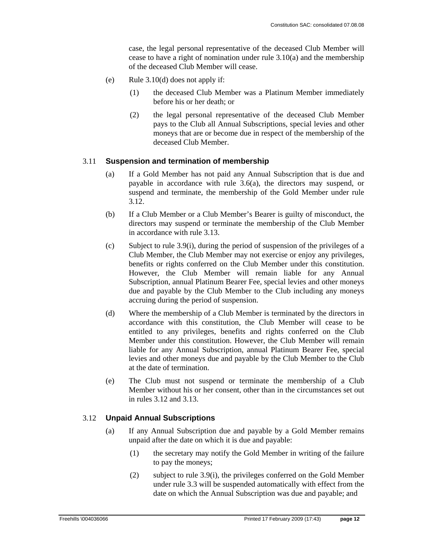case, the legal personal representative of the deceased Club Member will cease to have a right of nomination under rule 3.10(a) and the membership of the deceased Club Member will cease.

- (e) Rule 3.10(d) does not apply if:
	- (1) the deceased Club Member was a Platinum Member immediately before his or her death; or
	- (2) the legal personal representative of the deceased Club Member pays to the Club all Annual Subscriptions, special levies and other moneys that are or become due in respect of the membership of the deceased Club Member.

### 3.11 **Suspension and termination of membership**

- (a) If a Gold Member has not paid any Annual Subscription that is due and payable in accordance with rule 3.6(a), the directors may suspend, or suspend and terminate, the membership of the Gold Member under rule 3.12.
- (b) If a Club Member or a Club Member's Bearer is guilty of misconduct, the directors may suspend or terminate the membership of the Club Member in accordance with rule 3.13.
- (c) Subject to rule 3.9(i), during the period of suspension of the privileges of a Club Member, the Club Member may not exercise or enjoy any privileges, benefits or rights conferred on the Club Member under this constitution. However, the Club Member will remain liable for any Annual Subscription, annual Platinum Bearer Fee, special levies and other moneys due and payable by the Club Member to the Club including any moneys accruing during the period of suspension.
- (d) Where the membership of a Club Member is terminated by the directors in accordance with this constitution, the Club Member will cease to be entitled to any privileges, benefits and rights conferred on the Club Member under this constitution. However, the Club Member will remain liable for any Annual Subscription, annual Platinum Bearer Fee, special levies and other moneys due and payable by the Club Member to the Club at the date of termination.
- (e) The Club must not suspend or terminate the membership of a Club Member without his or her consent, other than in the circumstances set out in rules 3.12 and 3.13.

### 3.12 **Unpaid Annual Subscriptions**

- (a) If any Annual Subscription due and payable by a Gold Member remains unpaid after the date on which it is due and payable:
	- (1) the secretary may notify the Gold Member in writing of the failure to pay the moneys;
	- (2) subject to rule 3.9(i), the privileges conferred on the Gold Member under rule 3.3 will be suspended automatically with effect from the date on which the Annual Subscription was due and payable; and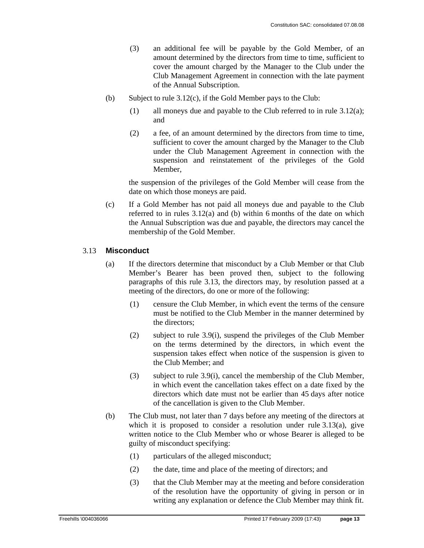- (3) an additional fee will be payable by the Gold Member, of an amount determined by the directors from time to time, sufficient to cover the amount charged by the Manager to the Club under the Club Management Agreement in connection with the late payment of the Annual Subscription.
- (b) Subject to rule 3.12(c), if the Gold Member pays to the Club:
	- (1) all moneys due and payable to the Club referred to in rule 3.12(a); and
	- (2) a fee, of an amount determined by the directors from time to time, sufficient to cover the amount charged by the Manager to the Club under the Club Management Agreement in connection with the suspension and reinstatement of the privileges of the Gold Member,

the suspension of the privileges of the Gold Member will cease from the date on which those moneys are paid.

(c) If a Gold Member has not paid all moneys due and payable to the Club referred to in rules 3.12(a) and (b) within 6 months of the date on which the Annual Subscription was due and payable, the directors may cancel the membership of the Gold Member.

### 3.13 **Misconduct**

- (a) If the directors determine that misconduct by a Club Member or that Club Member's Bearer has been proved then, subject to the following paragraphs of this rule 3.13, the directors may, by resolution passed at a meeting of the directors, do one or more of the following:
	- (1) censure the Club Member, in which event the terms of the censure must be notified to the Club Member in the manner determined by the directors;
	- (2) subject to rule 3.9(i), suspend the privileges of the Club Member on the terms determined by the directors, in which event the suspension takes effect when notice of the suspension is given to the Club Member; and
	- (3) subject to rule 3.9(i), cancel the membership of the Club Member, in which event the cancellation takes effect on a date fixed by the directors which date must not be earlier than 45 days after notice of the cancellation is given to the Club Member.
- (b) The Club must, not later than 7 days before any meeting of the directors at which it is proposed to consider a resolution under rule 3.13(a), give written notice to the Club Member who or whose Bearer is alleged to be guilty of misconduct specifying:
	- (1) particulars of the alleged misconduct;
	- (2) the date, time and place of the meeting of directors; and
	- (3) that the Club Member may at the meeting and before consideration of the resolution have the opportunity of giving in person or in writing any explanation or defence the Club Member may think fit.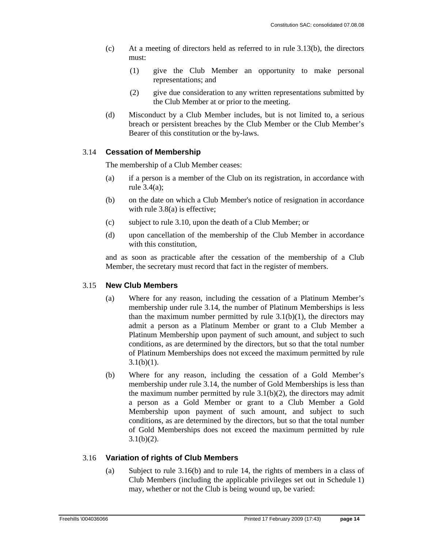- (c) At a meeting of directors held as referred to in rule 3.13(b), the directors must:
	- (1) give the Club Member an opportunity to make personal representations; and
	- (2) give due consideration to any written representations submitted by the Club Member at or prior to the meeting.
- (d) Misconduct by a Club Member includes, but is not limited to, a serious breach or persistent breaches by the Club Member or the Club Member's Bearer of this constitution or the by-laws.

### 3.14 **Cessation of Membership**

The membership of a Club Member ceases:

- (a) if a person is a member of the Club on its registration, in accordance with rule 3.4(a);
- (b) on the date on which a Club Member's notice of resignation in accordance with rule 3.8(a) is effective;
- (c) subject to rule 3.10, upon the death of a Club Member; or
- (d) upon cancellation of the membership of the Club Member in accordance with this constitution,

and as soon as practicable after the cessation of the membership of a Club Member, the secretary must record that fact in the register of members.

### 3.15 **New Club Members**

- (a) Where for any reason, including the cessation of a Platinum Member's membership under rule 3.14, the number of Platinum Memberships is less than the maximum number permitted by rule  $3.1(b)(1)$ , the directors may admit a person as a Platinum Member or grant to a Club Member a Platinum Membership upon payment of such amount, and subject to such conditions, as are determined by the directors, but so that the total number of Platinum Memberships does not exceed the maximum permitted by rule  $3.1(b)(1)$ .
- (b) Where for any reason, including the cessation of a Gold Member's membership under rule 3.14, the number of Gold Memberships is less than the maximum number permitted by rule  $3.1(b)(2)$ , the directors may admit a person as a Gold Member or grant to a Club Member a Gold Membership upon payment of such amount, and subject to such conditions, as are determined by the directors, but so that the total number of Gold Memberships does not exceed the maximum permitted by rule  $3.1(b)(2)$ .

### 3.16 **Variation of rights of Club Members**

(a) Subject to rule 3.16(b) and to rule 14, the rights of members in a class of Club Members (including the applicable privileges set out in Schedule 1) may, whether or not the Club is being wound up, be varied: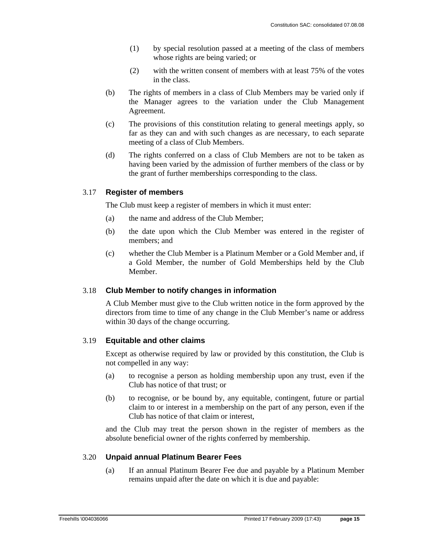- (1) by special resolution passed at a meeting of the class of members whose rights are being varied; or
- (2) with the written consent of members with at least 75% of the votes in the class.
- (b) The rights of members in a class of Club Members may be varied only if the Manager agrees to the variation under the Club Management Agreement.
- (c) The provisions of this constitution relating to general meetings apply, so far as they can and with such changes as are necessary, to each separate meeting of a class of Club Members.
- (d) The rights conferred on a class of Club Members are not to be taken as having been varied by the admission of further members of the class or by the grant of further memberships corresponding to the class.

### 3.17 **Register of members**

The Club must keep a register of members in which it must enter:

- (a) the name and address of the Club Member;
- (b) the date upon which the Club Member was entered in the register of members; and
- (c) whether the Club Member is a Platinum Member or a Gold Member and, if a Gold Member, the number of Gold Memberships held by the Club Member.

### 3.18 **Club Member to notify changes in information**

A Club Member must give to the Club written notice in the form approved by the directors from time to time of any change in the Club Member's name or address within 30 days of the change occurring.

### 3.19 **Equitable and other claims**

Except as otherwise required by law or provided by this constitution, the Club is not compelled in any way:

- (a) to recognise a person as holding membership upon any trust, even if the Club has notice of that trust; or
- (b) to recognise, or be bound by, any equitable, contingent, future or partial claim to or interest in a membership on the part of any person, even if the Club has notice of that claim or interest,

and the Club may treat the person shown in the register of members as the absolute beneficial owner of the rights conferred by membership.

### 3.20 **Unpaid annual Platinum Bearer Fees**

(a) If an annual Platinum Bearer Fee due and payable by a Platinum Member remains unpaid after the date on which it is due and payable: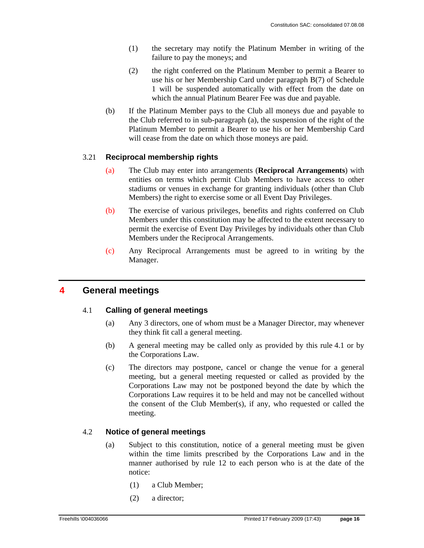- (1) the secretary may notify the Platinum Member in writing of the failure to pay the moneys; and
- (2) the right conferred on the Platinum Member to permit a Bearer to use his or her Membership Card under paragraph B(7) of Schedule 1 will be suspended automatically with effect from the date on which the annual Platinum Bearer Fee was due and payable.
- (b) If the Platinum Member pays to the Club all moneys due and payable to the Club referred to in sub-paragraph (a), the suspension of the right of the Platinum Member to permit a Bearer to use his or her Membership Card will cease from the date on which those moneys are paid.

### 3.21 **Reciprocal membership rights**

- (a) The Club may enter into arrangements (**Reciprocal Arrangements**) with entities on terms which permit Club Members to have access to other stadiums or venues in exchange for granting individuals (other than Club Members) the right to exercise some or all Event Day Privileges.
- (b) The exercise of various privileges, benefits and rights conferred on Club Members under this constitution may be affected to the extent necessary to permit the exercise of Event Day Privileges by individuals other than Club Members under the Reciprocal Arrangements.
- (c) Any Reciprocal Arrangements must be agreed to in writing by the Manager.

### **4 General meetings**

### 4.1 **Calling of general meetings**

- (a) Any 3 directors, one of whom must be a Manager Director, may whenever they think fit call a general meeting.
- (b) A general meeting may be called only as provided by this rule 4.1 or by the Corporations Law.
- (c) The directors may postpone, cancel or change the venue for a general meeting, but a general meeting requested or called as provided by the Corporations Law may not be postponed beyond the date by which the Corporations Law requires it to be held and may not be cancelled without the consent of the Club Member(s), if any, who requested or called the meeting.

### 4.2 **Notice of general meetings**

- (a) Subject to this constitution, notice of a general meeting must be given within the time limits prescribed by the Corporations Law and in the manner authorised by rule 12 to each person who is at the date of the notice:
	- (1) a Club Member;
	- (2) a director;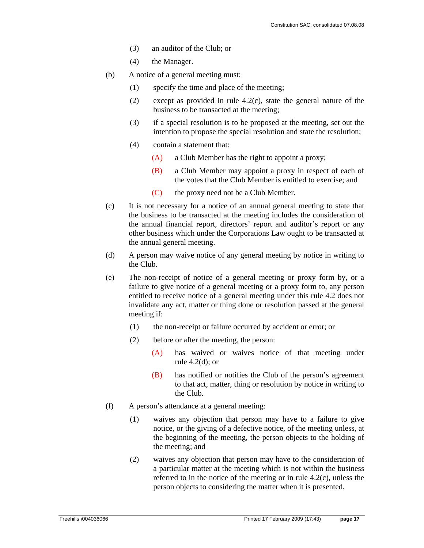- (3) an auditor of the Club; or
- (4) the Manager.
- (b) A notice of a general meeting must:
	- (1) specify the time and place of the meeting;
	- (2) except as provided in rule 4.2(c), state the general nature of the business to be transacted at the meeting;
	- (3) if a special resolution is to be proposed at the meeting, set out the intention to propose the special resolution and state the resolution;
	- (4) contain a statement that:
		- (A) a Club Member has the right to appoint a proxy;
		- (B) a Club Member may appoint a proxy in respect of each of the votes that the Club Member is entitled to exercise; and
		- (C) the proxy need not be a Club Member.
- (c) It is not necessary for a notice of an annual general meeting to state that the business to be transacted at the meeting includes the consideration of the annual financial report, directors' report and auditor's report or any other business which under the Corporations Law ought to be transacted at the annual general meeting.
- (d) A person may waive notice of any general meeting by notice in writing to the Club.
- (e) The non-receipt of notice of a general meeting or proxy form by, or a failure to give notice of a general meeting or a proxy form to, any person entitled to receive notice of a general meeting under this rule 4.2 does not invalidate any act, matter or thing done or resolution passed at the general meeting if:
	- (1) the non-receipt or failure occurred by accident or error; or
	- (2) before or after the meeting, the person:
		- (A) has waived or waives notice of that meeting under rule  $4.2(d)$ ; or
		- (B) has notified or notifies the Club of the person's agreement to that act, matter, thing or resolution by notice in writing to the Club.
- (f) A person's attendance at a general meeting:
	- (1) waives any objection that person may have to a failure to give notice, or the giving of a defective notice, of the meeting unless, at the beginning of the meeting, the person objects to the holding of the meeting; and
	- (2) waives any objection that person may have to the consideration of a particular matter at the meeting which is not within the business referred to in the notice of the meeting or in rule 4.2(c), unless the person objects to considering the matter when it is presented.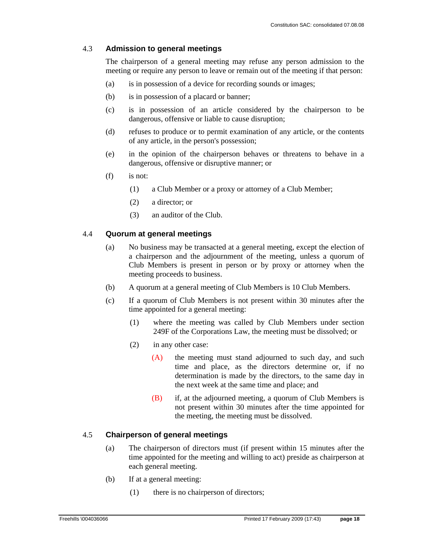### 4.3 **Admission to general meetings**

The chairperson of a general meeting may refuse any person admission to the meeting or require any person to leave or remain out of the meeting if that person:

- (a) is in possession of a device for recording sounds or images;
- (b) is in possession of a placard or banner;
- (c) is in possession of an article considered by the chairperson to be dangerous, offensive or liable to cause disruption;
- (d) refuses to produce or to permit examination of any article, or the contents of any article, in the person's possession;
- (e) in the opinion of the chairperson behaves or threatens to behave in a dangerous, offensive or disruptive manner; or
- (f) is not:
	- (1) a Club Member or a proxy or attorney of a Club Member;
	- (2) a director; or
	- (3) an auditor of the Club.

### 4.4 **Quorum at general meetings**

- (a) No business may be transacted at a general meeting, except the election of a chairperson and the adjournment of the meeting, unless a quorum of Club Members is present in person or by proxy or attorney when the meeting proceeds to business.
- (b) A quorum at a general meeting of Club Members is 10 Club Members.
- (c) If a quorum of Club Members is not present within 30 minutes after the time appointed for a general meeting:
	- (1) where the meeting was called by Club Members under section 249F of the Corporations Law, the meeting must be dissolved; or
	- (2) in any other case:
		- (A) the meeting must stand adjourned to such day, and such time and place, as the directors determine or, if no determination is made by the directors, to the same day in the next week at the same time and place; and
		- (B) if, at the adjourned meeting, a quorum of Club Members is not present within 30 minutes after the time appointed for the meeting, the meeting must be dissolved.

### 4.5 **Chairperson of general meetings**

- (a) The chairperson of directors must (if present within 15 minutes after the time appointed for the meeting and willing to act) preside as chairperson at each general meeting.
- (b) If at a general meeting:
	- (1) there is no chairperson of directors;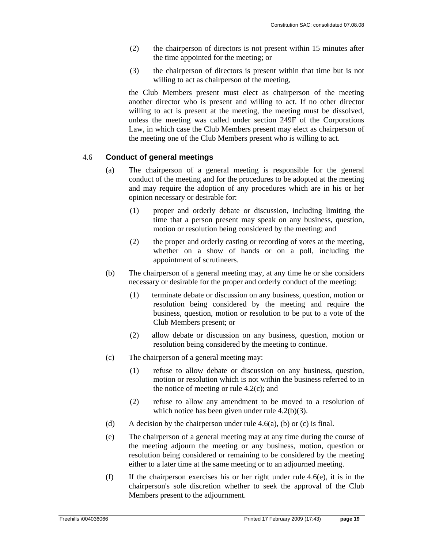- (2) the chairperson of directors is not present within 15 minutes after the time appointed for the meeting; or
- (3) the chairperson of directors is present within that time but is not willing to act as chairperson of the meeting,

the Club Members present must elect as chairperson of the meeting another director who is present and willing to act. If no other director willing to act is present at the meeting, the meeting must be dissolved, unless the meeting was called under section 249F of the Corporations Law, in which case the Club Members present may elect as chairperson of the meeting one of the Club Members present who is willing to act.

### 4.6 **Conduct of general meetings**

- (a) The chairperson of a general meeting is responsible for the general conduct of the meeting and for the procedures to be adopted at the meeting and may require the adoption of any procedures which are in his or her opinion necessary or desirable for:
	- (1) proper and orderly debate or discussion, including limiting the time that a person present may speak on any business, question, motion or resolution being considered by the meeting; and
	- (2) the proper and orderly casting or recording of votes at the meeting, whether on a show of hands or on a poll, including the appointment of scrutineers.
- (b) The chairperson of a general meeting may, at any time he or she considers necessary or desirable for the proper and orderly conduct of the meeting:
	- (1) terminate debate or discussion on any business, question, motion or resolution being considered by the meeting and require the business, question, motion or resolution to be put to a vote of the Club Members present; or
	- (2) allow debate or discussion on any business, question, motion or resolution being considered by the meeting to continue.
- (c) The chairperson of a general meeting may:
	- (1) refuse to allow debate or discussion on any business, question, motion or resolution which is not within the business referred to in the notice of meeting or rule  $4.2(c)$ ; and
	- (2) refuse to allow any amendment to be moved to a resolution of which notice has been given under rule 4.2(b)(3).
- (d) A decision by the chairperson under rule 4.6(a), (b) or (c) is final.
- (e) The chairperson of a general meeting may at any time during the course of the meeting adjourn the meeting or any business, motion, question or resolution being considered or remaining to be considered by the meeting either to a later time at the same meeting or to an adjourned meeting.
- (f) If the chairperson exercises his or her right under rule  $4.6(e)$ , it is in the chairperson's sole discretion whether to seek the approval of the Club Members present to the adjournment.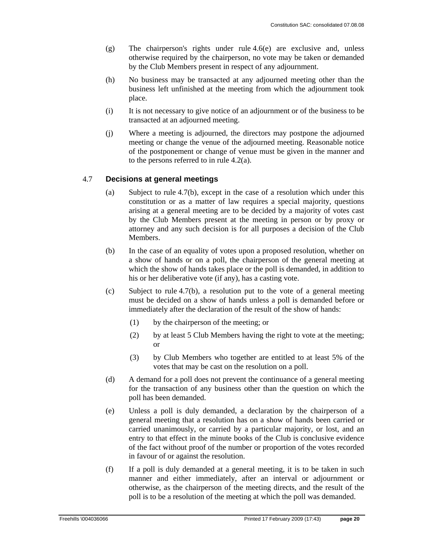- (g) The chairperson's rights under rule 4.6(e) are exclusive and, unless otherwise required by the chairperson, no vote may be taken or demanded by the Club Members present in respect of any adjournment.
- (h) No business may be transacted at any adjourned meeting other than the business left unfinished at the meeting from which the adjournment took place.
- (i) It is not necessary to give notice of an adjournment or of the business to be transacted at an adjourned meeting.
- (j) Where a meeting is adjourned, the directors may postpone the adjourned meeting or change the venue of the adjourned meeting. Reasonable notice of the postponement or change of venue must be given in the manner and to the persons referred to in rule 4.2(a).

### 4.7 **Decisions at general meetings**

- (a) Subject to rule 4.7(b), except in the case of a resolution which under this constitution or as a matter of law requires a special majority, questions arising at a general meeting are to be decided by a majority of votes cast by the Club Members present at the meeting in person or by proxy or attorney and any such decision is for all purposes a decision of the Club Members.
- (b) In the case of an equality of votes upon a proposed resolution, whether on a show of hands or on a poll, the chairperson of the general meeting at which the show of hands takes place or the poll is demanded, in addition to his or her deliberative vote (if any), has a casting vote.
- (c) Subject to rule  $4.7(b)$ , a resolution put to the vote of a general meeting must be decided on a show of hands unless a poll is demanded before or immediately after the declaration of the result of the show of hands:
	- (1) by the chairperson of the meeting; or
	- (2) by at least 5 Club Members having the right to vote at the meeting; or
	- (3) by Club Members who together are entitled to at least 5% of the votes that may be cast on the resolution on a poll.
- (d) A demand for a poll does not prevent the continuance of a general meeting for the transaction of any business other than the question on which the poll has been demanded.
- (e) Unless a poll is duly demanded, a declaration by the chairperson of a general meeting that a resolution has on a show of hands been carried or carried unanimously, or carried by a particular majority, or lost, and an entry to that effect in the minute books of the Club is conclusive evidence of the fact without proof of the number or proportion of the votes recorded in favour of or against the resolution.
- (f) If a poll is duly demanded at a general meeting, it is to be taken in such manner and either immediately, after an interval or adjournment or otherwise, as the chairperson of the meeting directs, and the result of the poll is to be a resolution of the meeting at which the poll was demanded.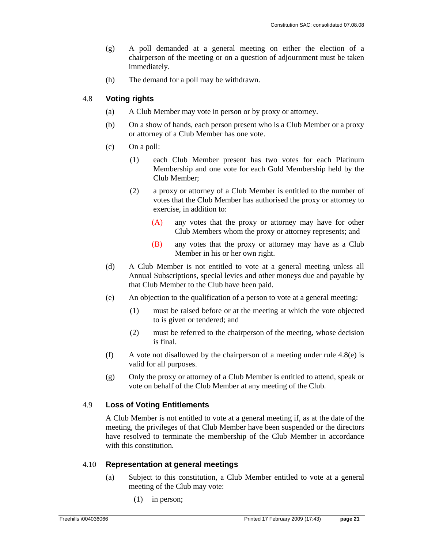- (g) A poll demanded at a general meeting on either the election of a chairperson of the meeting or on a question of adjournment must be taken immediately.
- (h) The demand for a poll may be withdrawn.

### 4.8 **Voting rights**

- (a) A Club Member may vote in person or by proxy or attorney.
- (b) On a show of hands, each person present who is a Club Member or a proxy or attorney of a Club Member has one vote.
- (c) On a poll:
	- (1) each Club Member present has two votes for each Platinum Membership and one vote for each Gold Membership held by the Club Member;
	- (2) a proxy or attorney of a Club Member is entitled to the number of votes that the Club Member has authorised the proxy or attorney to exercise, in addition to:
		- (A) any votes that the proxy or attorney may have for other Club Members whom the proxy or attorney represents; and
		- (B) any votes that the proxy or attorney may have as a Club Member in his or her own right.
- (d) A Club Member is not entitled to vote at a general meeting unless all Annual Subscriptions, special levies and other moneys due and payable by that Club Member to the Club have been paid.
- (e) An objection to the qualification of a person to vote at a general meeting:
	- (1) must be raised before or at the meeting at which the vote objected to is given or tendered; and
	- (2) must be referred to the chairperson of the meeting, whose decision is final.
- (f) A vote not disallowed by the chairperson of a meeting under rule  $4.8(e)$  is valid for all purposes.
- (g) Only the proxy or attorney of a Club Member is entitled to attend, speak or vote on behalf of the Club Member at any meeting of the Club.

### 4.9 **Loss of Voting Entitlements**

A Club Member is not entitled to vote at a general meeting if, as at the date of the meeting, the privileges of that Club Member have been suspended or the directors have resolved to terminate the membership of the Club Member in accordance with this constitution.

### 4.10 **Representation at general meetings**

- (a) Subject to this constitution, a Club Member entitled to vote at a general meeting of the Club may vote:
	- (1) in person;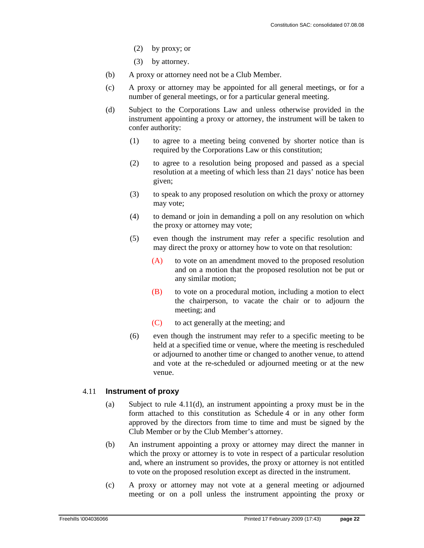- (2) by proxy; or
- (3) by attorney.
- (b) A proxy or attorney need not be a Club Member.
- (c) A proxy or attorney may be appointed for all general meetings, or for a number of general meetings, or for a particular general meeting.
- (d) Subject to the Corporations Law and unless otherwise provided in the instrument appointing a proxy or attorney, the instrument will be taken to confer authority:
	- (1) to agree to a meeting being convened by shorter notice than is required by the Corporations Law or this constitution;
	- (2) to agree to a resolution being proposed and passed as a special resolution at a meeting of which less than 21 days' notice has been given;
	- (3) to speak to any proposed resolution on which the proxy or attorney may vote;
	- (4) to demand or join in demanding a poll on any resolution on which the proxy or attorney may vote;
	- (5) even though the instrument may refer a specific resolution and may direct the proxy or attorney how to vote on that resolution:
		- (A) to vote on an amendment moved to the proposed resolution and on a motion that the proposed resolution not be put or any similar motion;
		- (B) to vote on a procedural motion, including a motion to elect the chairperson, to vacate the chair or to adjourn the meeting; and
		- (C) to act generally at the meeting; and
	- (6) even though the instrument may refer to a specific meeting to be held at a specified time or venue, where the meeting is rescheduled or adjourned to another time or changed to another venue, to attend and vote at the re-scheduled or adjourned meeting or at the new venue.

#### 4.11 **Instrument of proxy**

- (a) Subject to rule 4.11(d), an instrument appointing a proxy must be in the form attached to this constitution as Schedule 4 or in any other form approved by the directors from time to time and must be signed by the Club Member or by the Club Member's attorney.
- (b) An instrument appointing a proxy or attorney may direct the manner in which the proxy or attorney is to vote in respect of a particular resolution and, where an instrument so provides, the proxy or attorney is not entitled to vote on the proposed resolution except as directed in the instrument.
- (c) A proxy or attorney may not vote at a general meeting or adjourned meeting or on a poll unless the instrument appointing the proxy or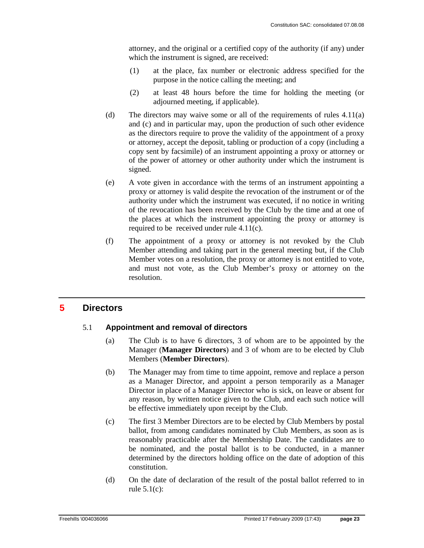attorney, and the original or a certified copy of the authority (if any) under which the instrument is signed, are received:

- (1) at the place, fax number or electronic address specified for the purpose in the notice calling the meeting; and
- (2) at least 48 hours before the time for holding the meeting (or adjourned meeting, if applicable).
- (d) The directors may waive some or all of the requirements of rules 4.11(a) and (c) and in particular may, upon the production of such other evidence as the directors require to prove the validity of the appointment of a proxy or attorney, accept the deposit, tabling or production of a copy (including a copy sent by facsimile) of an instrument appointing a proxy or attorney or of the power of attorney or other authority under which the instrument is signed.
- (e) A vote given in accordance with the terms of an instrument appointing a proxy or attorney is valid despite the revocation of the instrument or of the authority under which the instrument was executed, if no notice in writing of the revocation has been received by the Club by the time and at one of the places at which the instrument appointing the proxy or attorney is required to be received under rule 4.11(c).
- (f) The appointment of a proxy or attorney is not revoked by the Club Member attending and taking part in the general meeting but, if the Club Member votes on a resolution, the proxy or attorney is not entitled to vote, and must not vote, as the Club Member's proxy or attorney on the resolution.

### **5 Directors**

### 5.1 **Appointment and removal of directors**

- (a) The Club is to have 6 directors, 3 of whom are to be appointed by the Manager (**Manager Directors**) and 3 of whom are to be elected by Club Members (**Member Directors**).
- (b) The Manager may from time to time appoint, remove and replace a person as a Manager Director, and appoint a person temporarily as a Manager Director in place of a Manager Director who is sick, on leave or absent for any reason, by written notice given to the Club, and each such notice will be effective immediately upon receipt by the Club.
- (c) The first 3 Member Directors are to be elected by Club Members by postal ballot, from among candidates nominated by Club Members, as soon as is reasonably practicable after the Membership Date. The candidates are to be nominated, and the postal ballot is to be conducted, in a manner determined by the directors holding office on the date of adoption of this constitution.
- (d) On the date of declaration of the result of the postal ballot referred to in rule  $5.1(c)$ :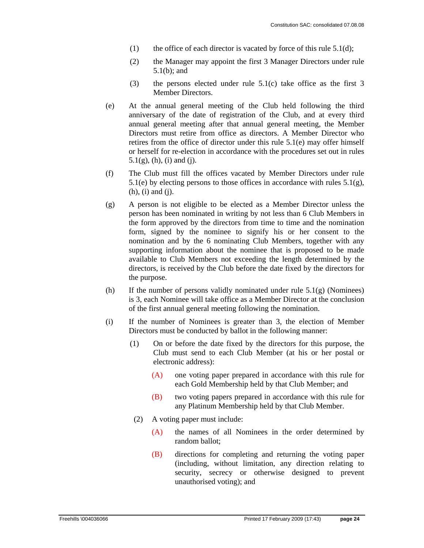- (1) the office of each director is vacated by force of this rule  $5.1(d)$ ;
- (2) the Manager may appoint the first 3 Manager Directors under rule 5.1(b); and
- (3) the persons elected under rule 5.1(c) take office as the first 3 Member Directors.
- (e) At the annual general meeting of the Club held following the third anniversary of the date of registration of the Club, and at every third annual general meeting after that annual general meeting, the Member Directors must retire from office as directors. A Member Director who retires from the office of director under this rule 5.1(e) may offer himself or herself for re-election in accordance with the procedures set out in rules  $5.1(g)$ , (h), (i) and (j).
- (f) The Club must fill the offices vacated by Member Directors under rule 5.1(e) by electing persons to those offices in accordance with rules 5.1(g), (h), (i) and (j).
- (g) A person is not eligible to be elected as a Member Director unless the person has been nominated in writing by not less than 6 Club Members in the form approved by the directors from time to time and the nomination form, signed by the nominee to signify his or her consent to the nomination and by the 6 nominating Club Members, together with any supporting information about the nominee that is proposed to be made available to Club Members not exceeding the length determined by the directors, is received by the Club before the date fixed by the directors for the purpose.
- (h) If the number of persons validly nominated under rule  $5.1(g)$  (Nominees) is 3, each Nominee will take office as a Member Director at the conclusion of the first annual general meeting following the nomination.
- (i) If the number of Nominees is greater than 3, the election of Member Directors must be conducted by ballot in the following manner:
	- (1) On or before the date fixed by the directors for this purpose, the Club must send to each Club Member (at his or her postal or electronic address):
		- (A) one voting paper prepared in accordance with this rule for each Gold Membership held by that Club Member; and
		- (B) two voting papers prepared in accordance with this rule for any Platinum Membership held by that Club Member.
		- (2) A voting paper must include:
			- (A) the names of all Nominees in the order determined by random ballot;
			- (B) directions for completing and returning the voting paper (including, without limitation, any direction relating to security, secrecy or otherwise designed to prevent unauthorised voting); and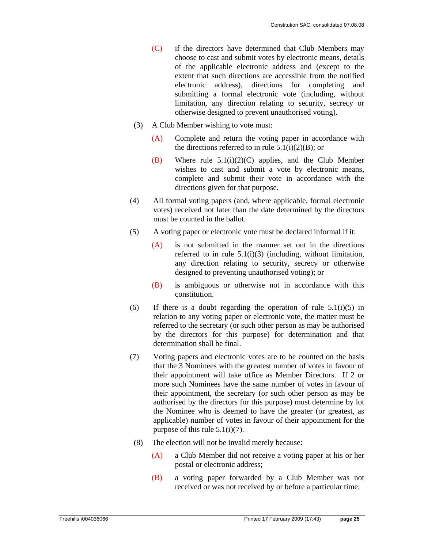- (C) if the directors have determined that Club Members may choose to cast and submit votes by electronic means, details of the applicable electronic address and (except to the extent that such directions are accessible from the notified electronic address), directions for completing and submitting a formal electronic vote (including, without limitation, any direction relating to security, secrecy or otherwise designed to prevent unauthorised voting).
- (3) A Club Member wishing to vote must:
	- (A) Complete and return the voting paper in accordance with the directions referred to in rule  $5.1(i)(2)(B)$ ; or
	- (B) Where rule 5.1(i)(2)(C) applies, and the Club Member wishes to cast and submit a vote by electronic means, complete and submit their vote in accordance with the directions given for that purpose.
- (4) All formal voting papers (and, where applicable, formal electronic votes) received not later than the date determined by the directors must be counted in the ballot.
- (5) A voting paper or electronic vote must be declared informal if it:
	- (A) is not submitted in the manner set out in the directions referred to in rule 5.1(i)(3) (including, without limitation, any direction relating to security, secrecy or otherwise designed to preventing unauthorised voting); or
	- (B) is ambiguous or otherwise not in accordance with this constitution.
- (6) If there is a doubt regarding the operation of rule  $5.1(i)(5)$  in relation to any voting paper or electronic vote, the matter must be referred to the secretary (or such other person as may be authorised by the directors for this purpose) for determination and that determination shall be final.
- (7) Voting papers and electronic votes are to be counted on the basis that the 3 Nominees with the greatest number of votes in favour of their appointment will take office as Member Directors. If 2 or more such Nominees have the same number of votes in favour of their appointment, the secretary (or such other person as may be authorised by the directors for this purpose) must determine by lot the Nominee who is deemed to have the greater (or greatest, as applicable) number of votes in favour of their appointment for the purpose of this rule 5.1(i)(7).
- (8) The election will not be invalid merely because:
	- (A) a Club Member did not receive a voting paper at his or her postal or electronic address;
	- (B) a voting paper forwarded by a Club Member was not received or was not received by or before a particular time;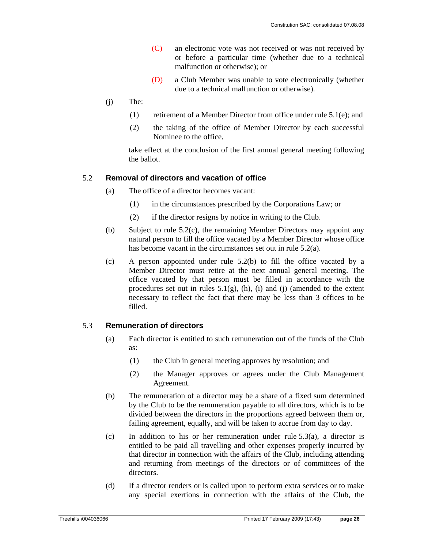- (C) an electronic vote was not received or was not received by or before a particular time (whether due to a technical malfunction or otherwise); or
- (D) a Club Member was unable to vote electronically (whether due to a technical malfunction or otherwise).
- (j) The:
	- (1) retirement of a Member Director from office under rule 5.1(e); and
	- (2) the taking of the office of Member Director by each successful Nominee to the office,

take effect at the conclusion of the first annual general meeting following the ballot.

### 5.2 **Removal of directors and vacation of office**

- (a) The office of a director becomes vacant:
	- (1) in the circumstances prescribed by the Corporations Law; or
	- (2) if the director resigns by notice in writing to the Club.
- (b) Subject to rule 5.2(c), the remaining Member Directors may appoint any natural person to fill the office vacated by a Member Director whose office has become vacant in the circumstances set out in rule 5.2(a).
- (c) A person appointed under rule 5.2(b) to fill the office vacated by a Member Director must retire at the next annual general meeting. The office vacated by that person must be filled in accordance with the procedures set out in rules  $5.1(g)$ , (h), (i) and (j) (amended to the extent necessary to reflect the fact that there may be less than 3 offices to be filled.

#### 5.3 **Remuneration of directors**

- (a) Each director is entitled to such remuneration out of the funds of the Club as:
	- (1) the Club in general meeting approves by resolution; and
	- (2) the Manager approves or agrees under the Club Management Agreement.
- (b) The remuneration of a director may be a share of a fixed sum determined by the Club to be the remuneration payable to all directors, which is to be divided between the directors in the proportions agreed between them or, failing agreement, equally, and will be taken to accrue from day to day.
- (c) In addition to his or her remuneration under rule 5.3(a), a director is entitled to be paid all travelling and other expenses properly incurred by that director in connection with the affairs of the Club, including attending and returning from meetings of the directors or of committees of the directors.
- (d) If a director renders or is called upon to perform extra services or to make any special exertions in connection with the affairs of the Club, the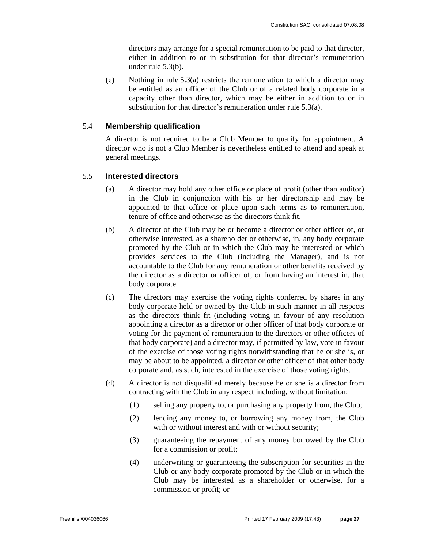directors may arrange for a special remuneration to be paid to that director, either in addition to or in substitution for that director's remuneration under rule 5.3(b).

(e) Nothing in rule 5.3(a) restricts the remuneration to which a director may be entitled as an officer of the Club or of a related body corporate in a capacity other than director, which may be either in addition to or in substitution for that director's remuneration under rule 5.3(a).

### 5.4 **Membership qualification**

A director is not required to be a Club Member to qualify for appointment. A director who is not a Club Member is nevertheless entitled to attend and speak at general meetings.

### 5.5 **Interested directors**

- (a) A director may hold any other office or place of profit (other than auditor) in the Club in conjunction with his or her directorship and may be appointed to that office or place upon such terms as to remuneration, tenure of office and otherwise as the directors think fit.
- (b) A director of the Club may be or become a director or other officer of, or otherwise interested, as a shareholder or otherwise, in, any body corporate promoted by the Club or in which the Club may be interested or which provides services to the Club (including the Manager), and is not accountable to the Club for any remuneration or other benefits received by the director as a director or officer of, or from having an interest in, that body corporate.
- (c) The directors may exercise the voting rights conferred by shares in any body corporate held or owned by the Club in such manner in all respects as the directors think fit (including voting in favour of any resolution appointing a director as a director or other officer of that body corporate or voting for the payment of remuneration to the directors or other officers of that body corporate) and a director may, if permitted by law, vote in favour of the exercise of those voting rights notwithstanding that he or she is, or may be about to be appointed, a director or other officer of that other body corporate and, as such, interested in the exercise of those voting rights.
- (d) A director is not disqualified merely because he or she is a director from contracting with the Club in any respect including, without limitation:
	- (1) selling any property to, or purchasing any property from, the Club;
	- (2) lending any money to, or borrowing any money from, the Club with or without interest and with or without security;
	- (3) guaranteeing the repayment of any money borrowed by the Club for a commission or profit;
	- (4) underwriting or guaranteeing the subscription for securities in the Club or any body corporate promoted by the Club or in which the Club may be interested as a shareholder or otherwise, for a commission or profit; or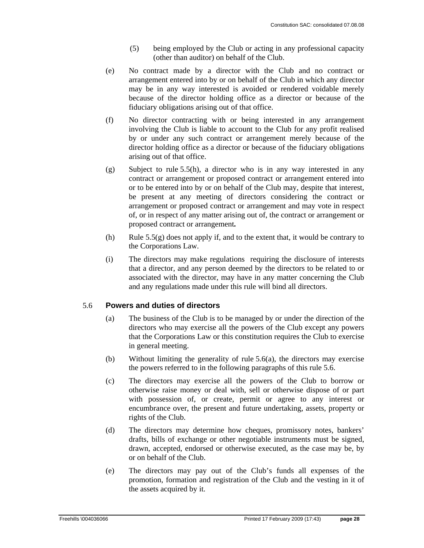- (5) being employed by the Club or acting in any professional capacity (other than auditor) on behalf of the Club.
- (e) No contract made by a director with the Club and no contract or arrangement entered into by or on behalf of the Club in which any director may be in any way interested is avoided or rendered voidable merely because of the director holding office as a director or because of the fiduciary obligations arising out of that office.
- (f) No director contracting with or being interested in any arrangement involving the Club is liable to account to the Club for any profit realised by or under any such contract or arrangement merely because of the director holding office as a director or because of the fiduciary obligations arising out of that office.
- (g) Subject to rule 5.5(h), a director who is in any way interested in any contract or arrangement or proposed contract or arrangement entered into or to be entered into by or on behalf of the Club may, despite that interest, be present at any meeting of directors considering the contract or arrangement or proposed contract or arrangement and may vote in respect of, or in respect of any matter arising out of, the contract or arrangement or proposed contract or arrangement*.*
- (h) Rule  $5.5(g)$  does not apply if, and to the extent that, it would be contrary to the Corporations Law.
- (i) The directors may make regulations requiring the disclosure of interests that a director, and any person deemed by the directors to be related to or associated with the director, may have in any matter concerning the Club and any regulations made under this rule will bind all directors.

### 5.6 **Powers and duties of directors**

- (a) The business of the Club is to be managed by or under the direction of the directors who may exercise all the powers of the Club except any powers that the Corporations Law or this constitution requires the Club to exercise in general meeting.
- (b) Without limiting the generality of rule 5.6(a), the directors may exercise the powers referred to in the following paragraphs of this rule 5.6.
- (c) The directors may exercise all the powers of the Club to borrow or otherwise raise money or deal with, sell or otherwise dispose of or part with possession of, or create, permit or agree to any interest or encumbrance over, the present and future undertaking, assets, property or rights of the Club.
- (d) The directors may determine how cheques, promissory notes, bankers' drafts, bills of exchange or other negotiable instruments must be signed, drawn, accepted, endorsed or otherwise executed, as the case may be, by or on behalf of the Club.
- (e) The directors may pay out of the Club's funds all expenses of the promotion, formation and registration of the Club and the vesting in it of the assets acquired by it.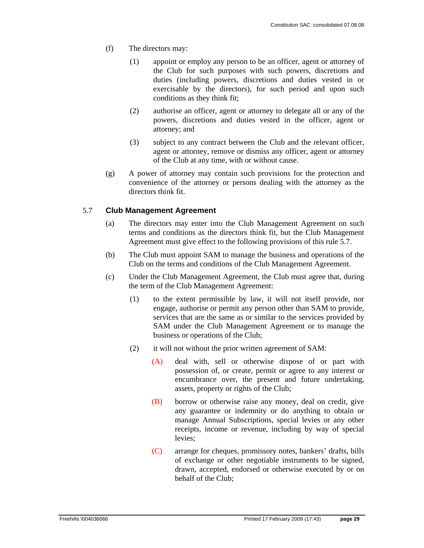- (f) The directors may:
	- (1) appoint or employ any person to be an officer, agent or attorney of the Club for such purposes with such powers, discretions and duties (including powers, discretions and duties vested in or exercisable by the directors), for such period and upon such conditions as they think fit;
	- (2) authorise an officer, agent or attorney to delegate all or any of the powers, discretions and duties vested in the officer, agent or attorney; and
	- (3) subject to any contract between the Club and the relevant officer, agent or attorney, remove or dismiss any officer, agent or attorney of the Club at any time, with or without cause.
- (g) A power of attorney may contain such provisions for the protection and convenience of the attorney or persons dealing with the attorney as the directors think fit.

### 5.7 **Club Management Agreement**

- (a) The directors may enter into the Club Management Agreement on such terms and conditions as the directors think fit, but the Club Management Agreement must give effect to the following provisions of this rule 5.7.
- (b) The Club must appoint SAM to manage the business and operations of the Club on the terms and conditions of the Club Management Agreement.
- (c) Under the Club Management Agreement, the Club must agree that, during the term of the Club Management Agreement:
	- (1) to the extent permissible by law, it will not itself provide, nor engage, authorise or permit any person other than SAM to provide, services that are the same as or similar to the services provided by SAM under the Club Management Agreement or to manage the business or operations of the Club;
	- (2) it will not without the prior written agreement of SAM:
		- (A) deal with, sell or otherwise dispose of or part with possession of, or create, permit or agree to any interest or encumbrance over, the present and future undertaking, assets, property or rights of the Club;
		- (B) borrow or otherwise raise any money, deal on credit, give any guarantee or indemnity or do anything to obtain or manage Annual Subscriptions, special levies or any other receipts, income or revenue, including by way of special levies;
		- (C) arrange for cheques, promissory notes, bankers' drafts, bills of exchange or other negotiable instruments to be signed, drawn, accepted, endorsed or otherwise executed by or on behalf of the Club;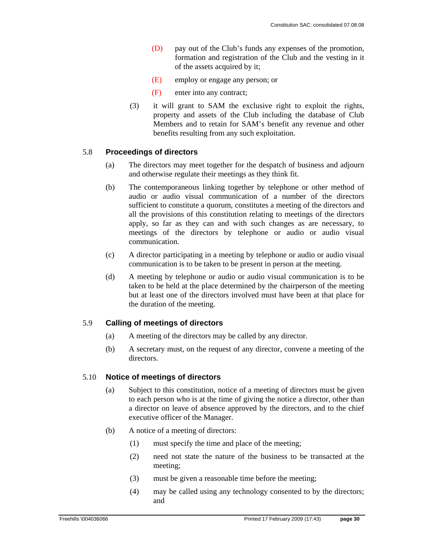- (D) pay out of the Club's funds any expenses of the promotion, formation and registration of the Club and the vesting in it of the assets acquired by it;
- (E) employ or engage any person; or
- (F) enter into any contract;
- (3) it will grant to SAM the exclusive right to exploit the rights, property and assets of the Club including the database of Club Members and to retain for SAM's benefit any revenue and other benefits resulting from any such exploitation.

### 5.8 **Proceedings of directors**

- (a) The directors may meet together for the despatch of business and adjourn and otherwise regulate their meetings as they think fit.
- (b) The contemporaneous linking together by telephone or other method of audio or audio visual communication of a number of the directors sufficient to constitute a quorum, constitutes a meeting of the directors and all the provisions of this constitution relating to meetings of the directors apply, so far as they can and with such changes as are necessary, to meetings of the directors by telephone or audio or audio visual communication.
- (c) A director participating in a meeting by telephone or audio or audio visual communication is to be taken to be present in person at the meeting.
- (d) A meeting by telephone or audio or audio visual communication is to be taken to be held at the place determined by the chairperson of the meeting but at least one of the directors involved must have been at that place for the duration of the meeting.

### 5.9 **Calling of meetings of directors**

- (a) A meeting of the directors may be called by any director.
- (b) A secretary must, on the request of any director, convene a meeting of the directors.

### 5.10 **Notice of meetings of directors**

- (a) Subject to this constitution, notice of a meeting of directors must be given to each person who is at the time of giving the notice a director, other than a director on leave of absence approved by the directors, and to the chief executive officer of the Manager.
- (b) A notice of a meeting of directors:
	- (1) must specify the time and place of the meeting;
	- (2) need not state the nature of the business to be transacted at the meeting;
	- (3) must be given a reasonable time before the meeting;
	- (4) may be called using any technology consented to by the directors; and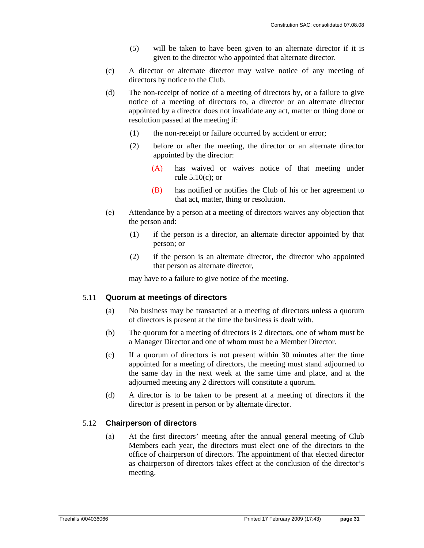- (5) will be taken to have been given to an alternate director if it is given to the director who appointed that alternate director.
- (c) A director or alternate director may waive notice of any meeting of directors by notice to the Club.
- (d) The non-receipt of notice of a meeting of directors by, or a failure to give notice of a meeting of directors to, a director or an alternate director appointed by a director does not invalidate any act, matter or thing done or resolution passed at the meeting if:
	- (1) the non-receipt or failure occurred by accident or error;
	- (2) before or after the meeting, the director or an alternate director appointed by the director:
		- (A) has waived or waives notice of that meeting under rule 5.10(c); or
		- (B) has notified or notifies the Club of his or her agreement to that act, matter, thing or resolution.
- (e) Attendance by a person at a meeting of directors waives any objection that the person and:
	- (1) if the person is a director, an alternate director appointed by that person; or
	- (2) if the person is an alternate director, the director who appointed that person as alternate director,

may have to a failure to give notice of the meeting.

### 5.11 **Quorum at meetings of directors**

- (a) No business may be transacted at a meeting of directors unless a quorum of directors is present at the time the business is dealt with.
- (b) The quorum for a meeting of directors is 2 directors, one of whom must be a Manager Director and one of whom must be a Member Director.
- (c) If a quorum of directors is not present within 30 minutes after the time appointed for a meeting of directors, the meeting must stand adjourned to the same day in the next week at the same time and place, and at the adjourned meeting any 2 directors will constitute a quorum.
- (d) A director is to be taken to be present at a meeting of directors if the director is present in person or by alternate director.

### 5.12 **Chairperson of directors**

(a) At the first directors' meeting after the annual general meeting of Club Members each year, the directors must elect one of the directors to the office of chairperson of directors. The appointment of that elected director as chairperson of directors takes effect at the conclusion of the director's meeting.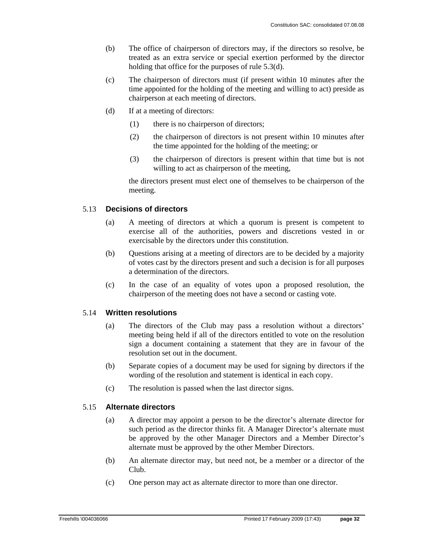- (b) The office of chairperson of directors may, if the directors so resolve, be treated as an extra service or special exertion performed by the director holding that office for the purposes of rule 5.3(d).
- (c) The chairperson of directors must (if present within 10 minutes after the time appointed for the holding of the meeting and willing to act) preside as chairperson at each meeting of directors.
- (d) If at a meeting of directors:
	- (1) there is no chairperson of directors;
	- (2) the chairperson of directors is not present within 10 minutes after the time appointed for the holding of the meeting; or
	- (3) the chairperson of directors is present within that time but is not willing to act as chairperson of the meeting,

the directors present must elect one of themselves to be chairperson of the meeting.

### 5.13 **Decisions of directors**

- (a) A meeting of directors at which a quorum is present is competent to exercise all of the authorities, powers and discretions vested in or exercisable by the directors under this constitution.
- (b) Questions arising at a meeting of directors are to be decided by a majority of votes cast by the directors present and such a decision is for all purposes a determination of the directors.
- (c) In the case of an equality of votes upon a proposed resolution, the chairperson of the meeting does not have a second or casting vote.

#### 5.14 **Written resolutions**

- (a) The directors of the Club may pass a resolution without a directors' meeting being held if all of the directors entitled to vote on the resolution sign a document containing a statement that they are in favour of the resolution set out in the document.
- (b) Separate copies of a document may be used for signing by directors if the wording of the resolution and statement is identical in each copy.
- (c) The resolution is passed when the last director signs.

### 5.15 **Alternate directors**

- (a) A director may appoint a person to be the director's alternate director for such period as the director thinks fit. A Manager Director's alternate must be approved by the other Manager Directors and a Member Director's alternate must be approved by the other Member Directors.
- (b) An alternate director may, but need not, be a member or a director of the Club.
- (c) One person may act as alternate director to more than one director.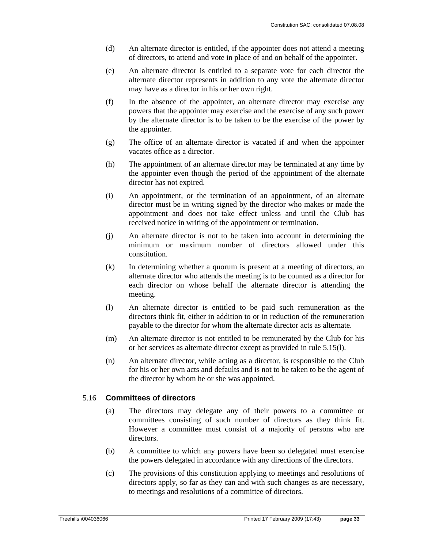- (d) An alternate director is entitled, if the appointer does not attend a meeting of directors, to attend and vote in place of and on behalf of the appointer.
- (e) An alternate director is entitled to a separate vote for each director the alternate director represents in addition to any vote the alternate director may have as a director in his or her own right.
- (f) In the absence of the appointer, an alternate director may exercise any powers that the appointer may exercise and the exercise of any such power by the alternate director is to be taken to be the exercise of the power by the appointer.
- (g) The office of an alternate director is vacated if and when the appointer vacates office as a director.
- (h) The appointment of an alternate director may be terminated at any time by the appointer even though the period of the appointment of the alternate director has not expired.
- (i) An appointment, or the termination of an appointment, of an alternate director must be in writing signed by the director who makes or made the appointment and does not take effect unless and until the Club has received notice in writing of the appointment or termination.
- (j) An alternate director is not to be taken into account in determining the minimum or maximum number of directors allowed under this constitution.
- (k) In determining whether a quorum is present at a meeting of directors, an alternate director who attends the meeting is to be counted as a director for each director on whose behalf the alternate director is attending the meeting.
- (l) An alternate director is entitled to be paid such remuneration as the directors think fit, either in addition to or in reduction of the remuneration payable to the director for whom the alternate director acts as alternate.
- (m) An alternate director is not entitled to be remunerated by the Club for his or her services as alternate director except as provided in rule 5.15(l).
- (n) An alternate director, while acting as a director, is responsible to the Club for his or her own acts and defaults and is not to be taken to be the agent of the director by whom he or she was appointed.

### 5.16 **Committees of directors**

- (a) The directors may delegate any of their powers to a committee or committees consisting of such number of directors as they think fit. However a committee must consist of a majority of persons who are directors.
- (b) A committee to which any powers have been so delegated must exercise the powers delegated in accordance with any directions of the directors.
- (c) The provisions of this constitution applying to meetings and resolutions of directors apply, so far as they can and with such changes as are necessary, to meetings and resolutions of a committee of directors.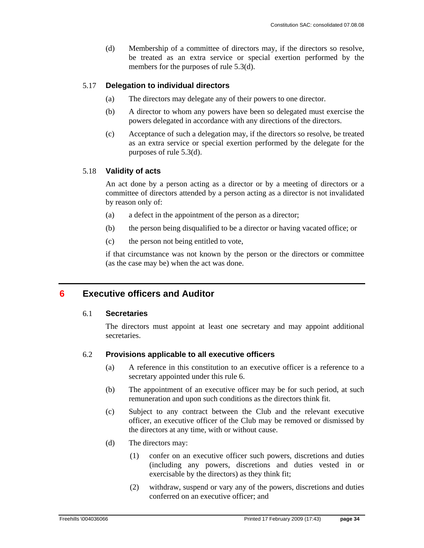(d) Membership of a committee of directors may, if the directors so resolve, be treated as an extra service or special exertion performed by the members for the purposes of rule 5.3(d).

### 5.17 **Delegation to individual directors**

- (a) The directors may delegate any of their powers to one director.
- (b) A director to whom any powers have been so delegated must exercise the powers delegated in accordance with any directions of the directors.
- (c) Acceptance of such a delegation may, if the directors so resolve, be treated as an extra service or special exertion performed by the delegate for the purposes of rule 5.3(d).

#### 5.18 **Validity of acts**

An act done by a person acting as a director or by a meeting of directors or a committee of directors attended by a person acting as a director is not invalidated by reason only of:

- (a) a defect in the appointment of the person as a director;
- (b) the person being disqualified to be a director or having vacated office; or
- (c) the person not being entitled to vote,

if that circumstance was not known by the person or the directors or committee (as the case may be) when the act was done.

### **6 Executive officers and Auditor**

#### 6.1 **Secretaries**

The directors must appoint at least one secretary and may appoint additional secretaries.

### 6.2 **Provisions applicable to all executive officers**

- (a) A reference in this constitution to an executive officer is a reference to a secretary appointed under this rule 6.
- (b) The appointment of an executive officer may be for such period, at such remuneration and upon such conditions as the directors think fit.
- (c) Subject to any contract between the Club and the relevant executive officer, an executive officer of the Club may be removed or dismissed by the directors at any time, with or without cause.
- (d) The directors may:
	- (1) confer on an executive officer such powers, discretions and duties (including any powers, discretions and duties vested in or exercisable by the directors) as they think fit;
	- (2) withdraw, suspend or vary any of the powers, discretions and duties conferred on an executive officer; and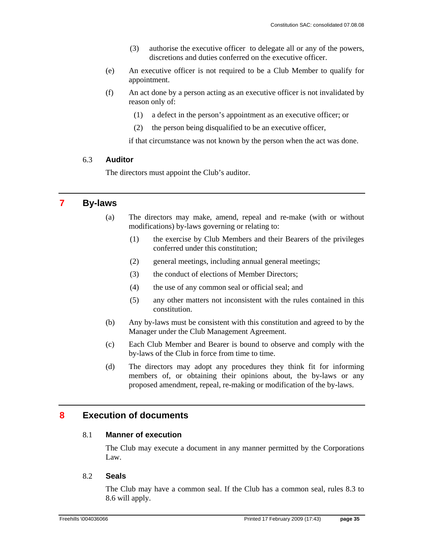- (3) authorise the executive officer to delegate all or any of the powers, discretions and duties conferred on the executive officer.
- (e) An executive officer is not required to be a Club Member to qualify for appointment.
- (f) An act done by a person acting as an executive officer is not invalidated by reason only of:
	- (1) a defect in the person's appointment as an executive officer; or
	- (2) the person being disqualified to be an executive officer,

if that circumstance was not known by the person when the act was done.

#### 6.3 **Auditor**

The directors must appoint the Club's auditor.

### **7 By-laws**

- (a) The directors may make, amend, repeal and re-make (with or without modifications) by-laws governing or relating to:
	- (1) the exercise by Club Members and their Bearers of the privileges conferred under this constitution;
	- (2) general meetings, including annual general meetings;
	- (3) the conduct of elections of Member Directors;
	- (4) the use of any common seal or official seal; and
	- (5) any other matters not inconsistent with the rules contained in this constitution.
- (b) Any by-laws must be consistent with this constitution and agreed to by the Manager under the Club Management Agreement.
- (c) Each Club Member and Bearer is bound to observe and comply with the by-laws of the Club in force from time to time.
- (d) The directors may adopt any procedures they think fit for informing members of, or obtaining their opinions about, the by-laws or any proposed amendment, repeal, re-making or modification of the by-laws.

### **8 Execution of documents**

#### 8.1 **Manner of execution**

The Club may execute a document in any manner permitted by the Corporations Law.

### 8.2 **Seals**

The Club may have a common seal. If the Club has a common seal, rules 8.3 to 8.6 will apply.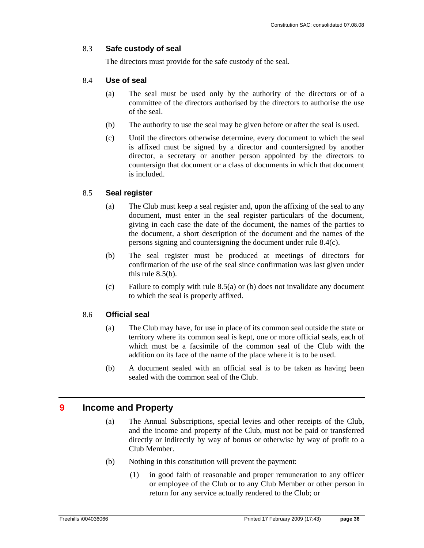### 8.3 **Safe custody of seal**

The directors must provide for the safe custody of the seal.

### 8.4 **Use of seal**

- (a) The seal must be used only by the authority of the directors or of a committee of the directors authorised by the directors to authorise the use of the seal.
- (b) The authority to use the seal may be given before or after the seal is used.
- (c) Until the directors otherwise determine, every document to which the seal is affixed must be signed by a director and countersigned by another director, a secretary or another person appointed by the directors to countersign that document or a class of documents in which that document is included.

### 8.5 **Seal register**

- (a) The Club must keep a seal register and, upon the affixing of the seal to any document, must enter in the seal register particulars of the document, giving in each case the date of the document, the names of the parties to the document, a short description of the document and the names of the persons signing and countersigning the document under rule 8.4(c).
- (b) The seal register must be produced at meetings of directors for confirmation of the use of the seal since confirmation was last given under this rule 8.5(b).
- (c) Failure to comply with rule 8.5(a) or (b) does not invalidate any document to which the seal is properly affixed.

### 8.6 **Official seal**

- (a) The Club may have, for use in place of its common seal outside the state or territory where its common seal is kept, one or more official seals, each of which must be a facsimile of the common seal of the Club with the addition on its face of the name of the place where it is to be used.
- (b) A document sealed with an official seal is to be taken as having been sealed with the common seal of the Club.

### **9 Income and Property**

- (a) The Annual Subscriptions, special levies and other receipts of the Club, and the income and property of the Club, must not be paid or transferred directly or indirectly by way of bonus or otherwise by way of profit to a Club Member.
- (b) Nothing in this constitution will prevent the payment:
	- (1) in good faith of reasonable and proper remuneration to any officer or employee of the Club or to any Club Member or other person in return for any service actually rendered to the Club; or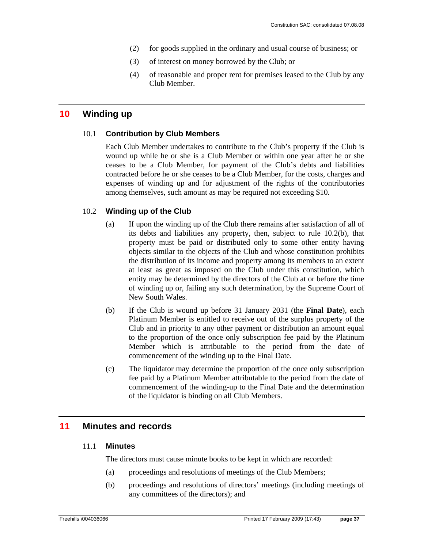- (2) for goods supplied in the ordinary and usual course of business; or
- (3) of interest on money borrowed by the Club; or
- (4) of reasonable and proper rent for premises leased to the Club by any Club Member.

### **10 Winding up**

### 10.1 **Contribution by Club Members**

Each Club Member undertakes to contribute to the Club's property if the Club is wound up while he or she is a Club Member or within one year after he or she ceases to be a Club Member, for payment of the Club's debts and liabilities contracted before he or she ceases to be a Club Member, for the costs, charges and expenses of winding up and for adjustment of the rights of the contributories among themselves, such amount as may be required not exceeding \$10.

### 10.2 **Winding up of the Club**

- (a) If upon the winding up of the Club there remains after satisfaction of all of its debts and liabilities any property, then, subject to rule 10.2(b), that property must be paid or distributed only to some other entity having objects similar to the objects of the Club and whose constitution prohibits the distribution of its income and property among its members to an extent at least as great as imposed on the Club under this constitution, which entity may be determined by the directors of the Club at or before the time of winding up or, failing any such determination, by the Supreme Court of New South Wales.
- (b) If the Club is wound up before 31 January 2031 (the **Final Date**), each Platinum Member is entitled to receive out of the surplus property of the Club and in priority to any other payment or distribution an amount equal to the proportion of the once only subscription fee paid by the Platinum Member which is attributable to the period from the date of commencement of the winding up to the Final Date.
- (c) The liquidator may determine the proportion of the once only subscription fee paid by a Platinum Member attributable to the period from the date of commencement of the winding-up to the Final Date and the determination of the liquidator is binding on all Club Members.

### **11 Minutes and records**

### 11.1 **Minutes**

The directors must cause minute books to be kept in which are recorded:

- (a) proceedings and resolutions of meetings of the Club Members;
- (b) proceedings and resolutions of directors' meetings (including meetings of any committees of the directors); and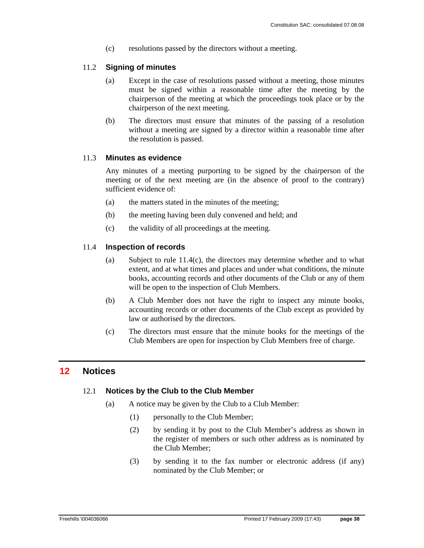(c) resolutions passed by the directors without a meeting.

### 11.2 **Signing of minutes**

- (a) Except in the case of resolutions passed without a meeting, those minutes must be signed within a reasonable time after the meeting by the chairperson of the meeting at which the proceedings took place or by the chairperson of the next meeting.
- (b) The directors must ensure that minutes of the passing of a resolution without a meeting are signed by a director within a reasonable time after the resolution is passed.

### 11.3 **Minutes as evidence**

Any minutes of a meeting purporting to be signed by the chairperson of the meeting or of the next meeting are (in the absence of proof to the contrary) sufficient evidence of:

- (a) the matters stated in the minutes of the meeting;
- (b) the meeting having been duly convened and held; and
- (c) the validity of all proceedings at the meeting.

### 11.4 **Inspection of records**

- (a) Subject to rule 11.4(c), the directors may determine whether and to what extent, and at what times and places and under what conditions, the minute books, accounting records and other documents of the Club or any of them will be open to the inspection of Club Members.
- (b) A Club Member does not have the right to inspect any minute books, accounting records or other documents of the Club except as provided by law or authorised by the directors.
- (c) The directors must ensure that the minute books for the meetings of the Club Members are open for inspection by Club Members free of charge.

### **12 Notices**

### 12.1 **Notices by the Club to the Club Member**

- (a) A notice may be given by the Club to a Club Member:
	- (1) personally to the Club Member;
	- (2) by sending it by post to the Club Member's address as shown in the register of members or such other address as is nominated by the Club Member;
	- (3) by sending it to the fax number or electronic address (if any) nominated by the Club Member; or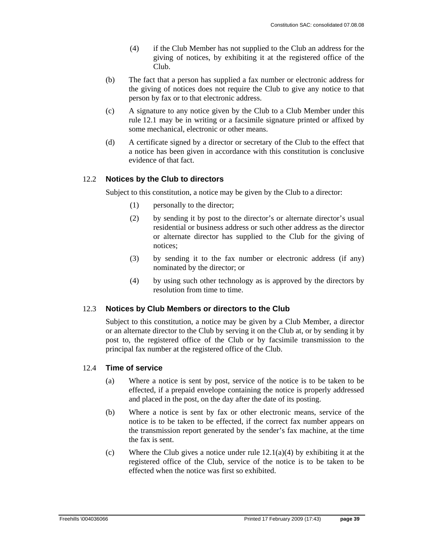- (4) if the Club Member has not supplied to the Club an address for the giving of notices, by exhibiting it at the registered office of the Club.
- (b) The fact that a person has supplied a fax number or electronic address for the giving of notices does not require the Club to give any notice to that person by fax or to that electronic address.
- (c) A signature to any notice given by the Club to a Club Member under this rule 12.1 may be in writing or a facsimile signature printed or affixed by some mechanical, electronic or other means.
- (d) A certificate signed by a director or secretary of the Club to the effect that a notice has been given in accordance with this constitution is conclusive evidence of that fact.

### 12.2 **Notices by the Club to directors**

Subject to this constitution, a notice may be given by the Club to a director:

- (1) personally to the director;
- (2) by sending it by post to the director's or alternate director's usual residential or business address or such other address as the director or alternate director has supplied to the Club for the giving of notices;
- (3) by sending it to the fax number or electronic address (if any) nominated by the director; or
- (4) by using such other technology as is approved by the directors by resolution from time to time.

### 12.3 **Notices by Club Members or directors to the Club**

Subject to this constitution, a notice may be given by a Club Member, a director or an alternate director to the Club by serving it on the Club at, or by sending it by post to, the registered office of the Club or by facsimile transmission to the principal fax number at the registered office of the Club.

### 12.4 **Time of service**

- (a) Where a notice is sent by post, service of the notice is to be taken to be effected, if a prepaid envelope containing the notice is properly addressed and placed in the post, on the day after the date of its posting.
- (b) Where a notice is sent by fax or other electronic means, service of the notice is to be taken to be effected, if the correct fax number appears on the transmission report generated by the sender's fax machine, at the time the fax is sent.
- (c) Where the Club gives a notice under rule  $12.1(a)(4)$  by exhibiting it at the registered office of the Club, service of the notice is to be taken to be effected when the notice was first so exhibited.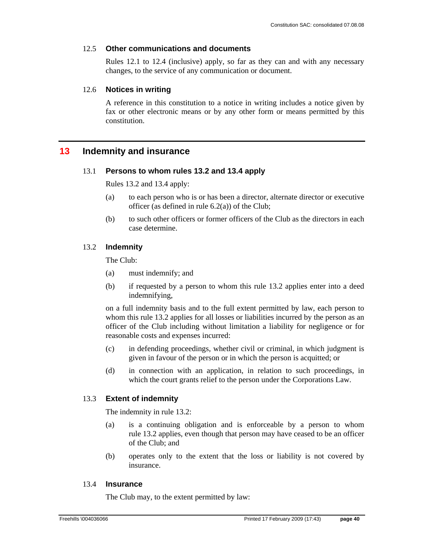### 12.5 **Other communications and documents**

Rules 12.1 to 12.4 (inclusive) apply, so far as they can and with any necessary changes, to the service of any communication or document.

### 12.6 **Notices in writing**

A reference in this constitution to a notice in writing includes a notice given by fax or other electronic means or by any other form or means permitted by this constitution.

### **13 Indemnity and insurance**

### 13.1 **Persons to whom rules 13.2 and 13.4 apply**

Rules 13.2 and 13.4 apply:

- (a) to each person who is or has been a director, alternate director or executive officer (as defined in rule  $6.2(a)$ ) of the Club;
- (b) to such other officers or former officers of the Club as the directors in each case determine.

### 13.2 **Indemnity**

The Club:

- (a) must indemnify; and
- (b) if requested by a person to whom this rule 13.2 applies enter into a deed indemnifying,

on a full indemnity basis and to the full extent permitted by law, each person to whom this rule 13.2 applies for all losses or liabilities incurred by the person as an officer of the Club including without limitation a liability for negligence or for reasonable costs and expenses incurred:

- (c) in defending proceedings, whether civil or criminal, in which judgment is given in favour of the person or in which the person is acquitted; or
- (d) in connection with an application, in relation to such proceedings, in which the court grants relief to the person under the Corporations Law.

### 13.3 **Extent of indemnity**

The indemnity in rule 13.2:

- (a) is a continuing obligation and is enforceable by a person to whom rule 13.2 applies, even though that person may have ceased to be an officer of the Club; and
- (b) operates only to the extent that the loss or liability is not covered by insurance.

### 13.4 **Insurance**

The Club may, to the extent permitted by law: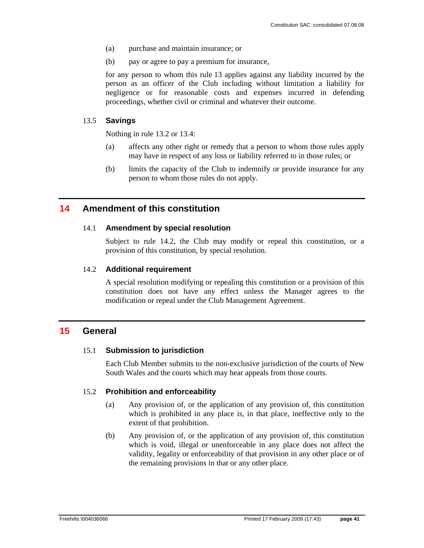- (a) purchase and maintain insurance; or
- (b) pay or agree to pay a premium for insurance,

for any person to whom this rule 13 applies against any liability incurred by the person as an officer of the Club including without limitation a liability for negligence or for reasonable costs and expenses incurred in defending proceedings, whether civil or criminal and whatever their outcome.

### 13.5 **Savings**

Nothing in rule 13.2 or 13.4:

- (a) affects any other right or remedy that a person to whom those rules apply may have in respect of any loss or liability referred to in those rules; or
- (b) limits the capacity of the Club to indemnify or provide insurance for any person to whom those rules do not apply.

### **14 Amendment of this constitution**

### 14.1 **Amendment by special resolution**

Subject to rule 14.2, the Club may modify or repeal this constitution, or a provision of this constitution, by special resolution.

### 14.2 **Additional requirement**

A special resolution modifying or repealing this constitution or a provision of this constitution does not have any effect unless the Manager agrees to the modification or repeal under the Club Management Agreement.

### **15 General**

### 15.1 **Submission to jurisdiction**

Each Club Member submits to the non-exclusive jurisdiction of the courts of New South Wales and the courts which may hear appeals from those courts.

### 15.2 **Prohibition and enforceability**

- (a) Any provision of, or the application of any provision of, this constitution which is prohibited in any place is, in that place, ineffective only to the extent of that prohibition.
- (b) Any provision of, or the application of any provision of, this constitution which is void, illegal or unenforceable in any place does not affect the validity, legality or enforceability of that provision in any other place or of the remaining provisions in that or any other place.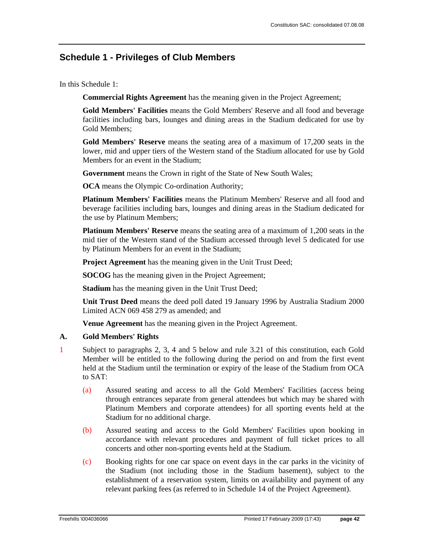### **Schedule 1 - Privileges of Club Members**

In this Schedule 1:

**Commercial Rights Agreement** has the meaning given in the Project Agreement;

**Gold Members' Facilities** means the Gold Members' Reserve and all food and beverage facilities including bars, lounges and dining areas in the Stadium dedicated for use by Gold Members;

**Gold Members' Reserve** means the seating area of a maximum of 17,200 seats in the lower, mid and upper tiers of the Western stand of the Stadium allocated for use by Gold Members for an event in the Stadium;

**Government** means the Crown in right of the State of New South Wales;

**OCA** means the Olympic Co-ordination Authority;

**Platinum Members' Facilities** means the Platinum Members' Reserve and all food and beverage facilities including bars, lounges and dining areas in the Stadium dedicated for the use by Platinum Members;

**Platinum Members' Reserve** means the seating area of a maximum of 1,200 seats in the mid tier of the Western stand of the Stadium accessed through level 5 dedicated for use by Platinum Members for an event in the Stadium;

**Project Agreement** has the meaning given in the Unit Trust Deed;

**SOCOG** has the meaning given in the Project Agreement;

**Stadium** has the meaning given in the Unit Trust Deed;

**Unit Trust Deed** means the deed poll dated 19 January 1996 by Australia Stadium 2000 Limited ACN 069 458 279 as amended; and

**Venue Agreement** has the meaning given in the Project Agreement.

### **A. Gold Members' Rights**

- 1 Subject to paragraphs 2, 3, 4 and 5 below and rule 3.21 of this constitution, each Gold Member will be entitled to the following during the period on and from the first event held at the Stadium until the termination or expiry of the lease of the Stadium from OCA to SAT:
	- (a) Assured seating and access to all the Gold Members' Facilities (access being through entrances separate from general attendees but which may be shared with Platinum Members and corporate attendees) for all sporting events held at the Stadium for no additional charge.
	- (b) Assured seating and access to the Gold Members' Facilities upon booking in accordance with relevant procedures and payment of full ticket prices to all concerts and other non-sporting events held at the Stadium.
	- (c) Booking rights for one car space on event days in the car parks in the vicinity of the Stadium (not including those in the Stadium basement), subject to the establishment of a reservation system, limits on availability and payment of any relevant parking fees (as referred to in Schedule 14 of the Project Agreement).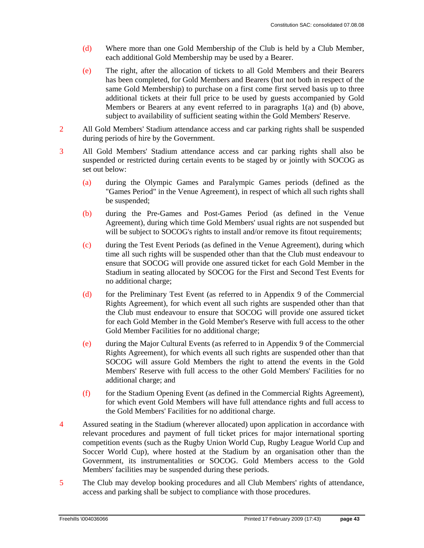- (d) Where more than one Gold Membership of the Club is held by a Club Member, each additional Gold Membership may be used by a Bearer.
- (e) The right, after the allocation of tickets to all Gold Members and their Bearers has been completed, for Gold Members and Bearers (but not both in respect of the same Gold Membership) to purchase on a first come first served basis up to three additional tickets at their full price to be used by guests accompanied by Gold Members or Bearers at any event referred to in paragraphs 1(a) and (b) above, subject to availability of sufficient seating within the Gold Members' Reserve.
- 2 All Gold Members' Stadium attendance access and car parking rights shall be suspended during periods of hire by the Government.
- 3 All Gold Members' Stadium attendance access and car parking rights shall also be suspended or restricted during certain events to be staged by or jointly with SOCOG as set out below:
	- (a) during the Olympic Games and Paralympic Games periods (defined as the "Games Period" in the Venue Agreement), in respect of which all such rights shall be suspended;
	- (b) during the Pre-Games and Post-Games Period (as defined in the Venue Agreement), during which time Gold Members' usual rights are not suspended but will be subject to SOCOG's rights to install and/or remove its fitout requirements;
	- (c) during the Test Event Periods (as defined in the Venue Agreement), during which time all such rights will be suspended other than that the Club must endeavour to ensure that SOCOG will provide one assured ticket for each Gold Member in the Stadium in seating allocated by SOCOG for the First and Second Test Events for no additional charge;
	- (d) for the Preliminary Test Event (as referred to in Appendix 9 of the Commercial Rights Agreement), for which event all such rights are suspended other than that the Club must endeavour to ensure that SOCOG will provide one assured ticket for each Gold Member in the Gold Member's Reserve with full access to the other Gold Member Facilities for no additional charge;
	- (e) during the Major Cultural Events (as referred to in Appendix 9 of the Commercial Rights Agreement), for which events all such rights are suspended other than that SOCOG will assure Gold Members the right to attend the events in the Gold Members' Reserve with full access to the other Gold Members' Facilities for no additional charge; and
	- (f) for the Stadium Opening Event (as defined in the Commercial Rights Agreement), for which event Gold Members will have full attendance rights and full access to the Gold Members' Facilities for no additional charge.
- 4 Assured seating in the Stadium (wherever allocated) upon application in accordance with relevant procedures and payment of full ticket prices for major international sporting competition events (such as the Rugby Union World Cup, Rugby League World Cup and Soccer World Cup), where hosted at the Stadium by an organisation other than the Government, its instrumentalities or SOCOG. Gold Members access to the Gold Members' facilities may be suspended during these periods.
- 5 The Club may develop booking procedures and all Club Members' rights of attendance, access and parking shall be subject to compliance with those procedures.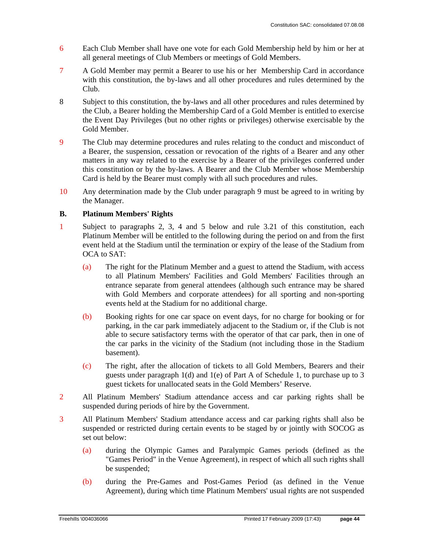- 6 Each Club Member shall have one vote for each Gold Membership held by him or her at all general meetings of Club Members or meetings of Gold Members.
- 7 A Gold Member may permit a Bearer to use his or her Membership Card in accordance with this constitution, the by-laws and all other procedures and rules determined by the Club.
- 8 Subject to this constitution, the by-laws and all other procedures and rules determined by the Club, a Bearer holding the Membership Card of a Gold Member is entitled to exercise the Event Day Privileges (but no other rights or privileges) otherwise exercisable by the Gold Member.
- 9 The Club may determine procedures and rules relating to the conduct and misconduct of a Bearer, the suspension, cessation or revocation of the rights of a Bearer and any other matters in any way related to the exercise by a Bearer of the privileges conferred under this constitution or by the by-laws. A Bearer and the Club Member whose Membership Card is held by the Bearer must comply with all such procedures and rules.
- 10 Any determination made by the Club under paragraph 9 must be agreed to in writing by the Manager.

### **B. Platinum Members' Rights**

- 1 Subject to paragraphs 2, 3, 4 and 5 below and rule 3.21 of this constitution, each Platinum Member will be entitled to the following during the period on and from the first event held at the Stadium until the termination or expiry of the lease of the Stadium from OCA to SAT:
	- (a) The right for the Platinum Member and a guest to attend the Stadium, with access to all Platinum Members' Facilities and Gold Members' Facilities through an entrance separate from general attendees (although such entrance may be shared with Gold Members and corporate attendees) for all sporting and non-sporting events held at the Stadium for no additional charge.
	- (b) Booking rights for one car space on event days, for no charge for booking or for parking, in the car park immediately adjacent to the Stadium or, if the Club is not able to secure satisfactory terms with the operator of that car park, then in one of the car parks in the vicinity of the Stadium (not including those in the Stadium basement).
	- (c) The right, after the allocation of tickets to all Gold Members, Bearers and their guests under paragraph 1(d) and 1(e) of Part A of Schedule 1, to purchase up to 3 guest tickets for unallocated seats in the Gold Members' Reserve.
- 2 All Platinum Members' Stadium attendance access and car parking rights shall be suspended during periods of hire by the Government.
- 3 All Platinum Members' Stadium attendance access and car parking rights shall also be suspended or restricted during certain events to be staged by or jointly with SOCOG as set out below:
	- (a) during the Olympic Games and Paralympic Games periods (defined as the "Games Period" in the Venue Agreement), in respect of which all such rights shall be suspended;
	- (b) during the Pre-Games and Post-Games Period (as defined in the Venue Agreement), during which time Platinum Members' usual rights are not suspended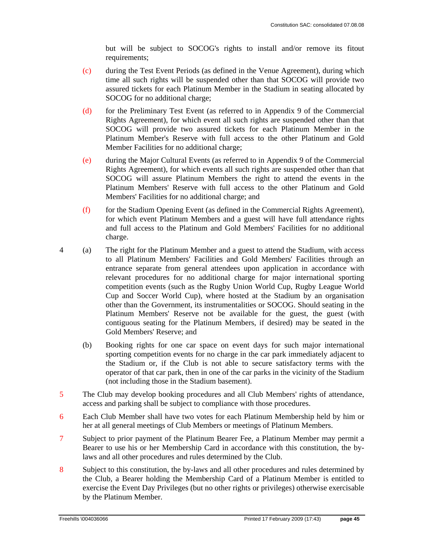but will be subject to SOCOG's rights to install and/or remove its fitout requirements;

- (c) during the Test Event Periods (as defined in the Venue Agreement), during which time all such rights will be suspended other than that SOCOG will provide two assured tickets for each Platinum Member in the Stadium in seating allocated by SOCOG for no additional charge;
- (d) for the Preliminary Test Event (as referred to in Appendix 9 of the Commercial Rights Agreement), for which event all such rights are suspended other than that SOCOG will provide two assured tickets for each Platinum Member in the Platinum Member's Reserve with full access to the other Platinum and Gold Member Facilities for no additional charge;
- (e) during the Major Cultural Events (as referred to in Appendix 9 of the Commercial Rights Agreement), for which events all such rights are suspended other than that SOCOG will assure Platinum Members the right to attend the events in the Platinum Members' Reserve with full access to the other Platinum and Gold Members' Facilities for no additional charge; and
- (f) for the Stadium Opening Event (as defined in the Commercial Rights Agreement), for which event Platinum Members and a guest will have full attendance rights and full access to the Platinum and Gold Members' Facilities for no additional charge.
- 4 (a) The right for the Platinum Member and a guest to attend the Stadium, with access to all Platinum Members' Facilities and Gold Members' Facilities through an entrance separate from general attendees upon application in accordance with relevant procedures for no additional charge for major international sporting competition events (such as the Rugby Union World Cup, Rugby League World Cup and Soccer World Cup), where hosted at the Stadium by an organisation other than the Government, its instrumentalities or SOCOG. Should seating in the Platinum Members' Reserve not be available for the guest, the guest (with contiguous seating for the Platinum Members, if desired) may be seated in the Gold Members' Reserve; and
	- (b) Booking rights for one car space on event days for such major international sporting competition events for no charge in the car park immediately adjacent to the Stadium or, if the Club is not able to secure satisfactory terms with the operator of that car park, then in one of the car parks in the vicinity of the Stadium (not including those in the Stadium basement).
- 5 The Club may develop booking procedures and all Club Members' rights of attendance, access and parking shall be subject to compliance with those procedures.
- 6 Each Club Member shall have two votes for each Platinum Membership held by him or her at all general meetings of Club Members or meetings of Platinum Members.
- 7 Subject to prior payment of the Platinum Bearer Fee, a Platinum Member may permit a Bearer to use his or her Membership Card in accordance with this constitution, the bylaws and all other procedures and rules determined by the Club.
- 8 Subject to this constitution, the by-laws and all other procedures and rules determined by the Club, a Bearer holding the Membership Card of a Platinum Member is entitled to exercise the Event Day Privileges (but no other rights or privileges) otherwise exercisable by the Platinum Member.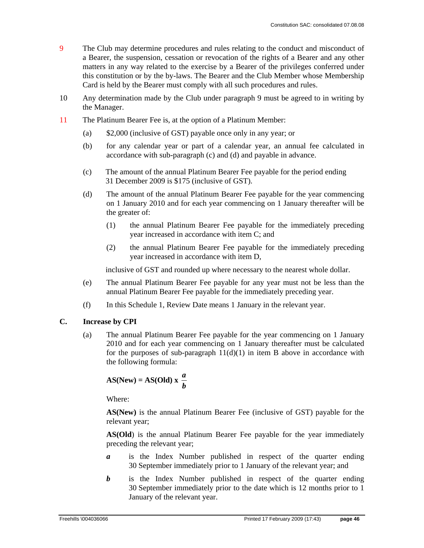- 9 The Club may determine procedures and rules relating to the conduct and misconduct of a Bearer, the suspension, cessation or revocation of the rights of a Bearer and any other matters in any way related to the exercise by a Bearer of the privileges conferred under this constitution or by the by-laws. The Bearer and the Club Member whose Membership Card is held by the Bearer must comply with all such procedures and rules.
- 10 Any determination made by the Club under paragraph 9 must be agreed to in writing by the Manager.
- 11 The Platinum Bearer Fee is, at the option of a Platinum Member:
	- (a) \$2,000 (inclusive of GST) payable once only in any year; or
	- (b) for any calendar year or part of a calendar year, an annual fee calculated in accordance with sub-paragraph (c) and (d) and payable in advance.
	- (c) The amount of the annual Platinum Bearer Fee payable for the period ending 31 December 2009 is \$175 (inclusive of GST).
	- (d) The amount of the annual Platinum Bearer Fee payable for the year commencing on 1 January 2010 and for each year commencing on 1 January thereafter will be the greater of:
		- (1) the annual Platinum Bearer Fee payable for the immediately preceding year increased in accordance with item C; and
		- (2) the annual Platinum Bearer Fee payable for the immediately preceding year increased in accordance with item D,

inclusive of GST and rounded up where necessary to the nearest whole dollar.

- (e) The annual Platinum Bearer Fee payable for any year must not be less than the annual Platinum Bearer Fee payable for the immediately preceding year.
- (f) In this Schedule 1, Review Date means 1 January in the relevant year.

### **C. Increase by CPI**

(a) The annual Platinum Bearer Fee payable for the year commencing on 1 January 2010 and for each year commencing on 1 January thereafter must be calculated for the purposes of sub-paragraph  $11(d)(1)$  in item B above in accordance with the following formula:

$$
AS(New) = AS(Old) x \frac{a}{b}
$$

Where:

**AS(New)** is the annual Platinum Bearer Fee (inclusive of GST) payable for the relevant year;

**AS(Old**) is the annual Platinum Bearer Fee payable for the year immediately preceding the relevant year;

- *a* is the Index Number published in respect of the quarter ending 30 September immediately prior to 1 January of the relevant year; and
- *b* is the Index Number published in respect of the quarter ending 30 September immediately prior to the date which is 12 months prior to 1 January of the relevant year.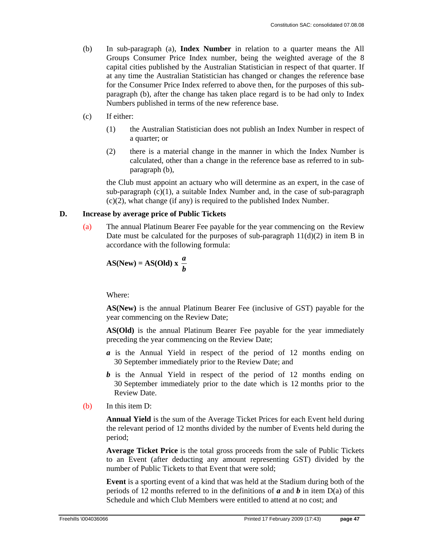- (b) In sub-paragraph (a), **Index Number** in relation to a quarter means the All Groups Consumer Price Index number, being the weighted average of the 8 capital cities published by the Australian Statistician in respect of that quarter. If at any time the Australian Statistician has changed or changes the reference base for the Consumer Price Index referred to above then, for the purposes of this subparagraph (b), after the change has taken place regard is to be had only to Index Numbers published in terms of the new reference base.
- (c) If either:
	- (1) the Australian Statistician does not publish an Index Number in respect of a quarter; or
	- (2) there is a material change in the manner in which the Index Number is calculated, other than a change in the reference base as referred to in subparagraph (b),

the Club must appoint an actuary who will determine as an expert, in the case of sub-paragraph (c)(1), a suitable Index Number and, in the case of sub-paragraph (c)(2), what change (if any) is required to the published Index Number.

### **D. Increase by average price of Public Tickets**

(a) The annual Platinum Bearer Fee payable for the year commencing on the Review Date must be calculated for the purposes of sub-paragraph  $11(d)(2)$  in item B in accordance with the following formula:

$$
AS(New) = AS(Old) x \frac{a}{b}
$$

Where:

**AS(New)** is the annual Platinum Bearer Fee (inclusive of GST) payable for the year commencing on the Review Date;

**AS(Old)** is the annual Platinum Bearer Fee payable for the year immediately preceding the year commencing on the Review Date;

- *a* is the Annual Yield in respect of the period of 12 months ending on 30 September immediately prior to the Review Date; and
- *b* is the Annual Yield in respect of the period of 12 months ending on 30 September immediately prior to the date which is 12 months prior to the Review Date.
- (b) In this item D:

**Annual Yield** is the sum of the Average Ticket Prices for each Event held during the relevant period of 12 months divided by the number of Events held during the period;

**Average Ticket Price** is the total gross proceeds from the sale of Public Tickets to an Event (after deducting any amount representing GST) divided by the number of Public Tickets to that Event that were sold;

**Event** is a sporting event of a kind that was held at the Stadium during both of the periods of 12 months referred to in the definitions of *a* and *b* in item D(a) of this Schedule and which Club Members were entitled to attend at no cost; and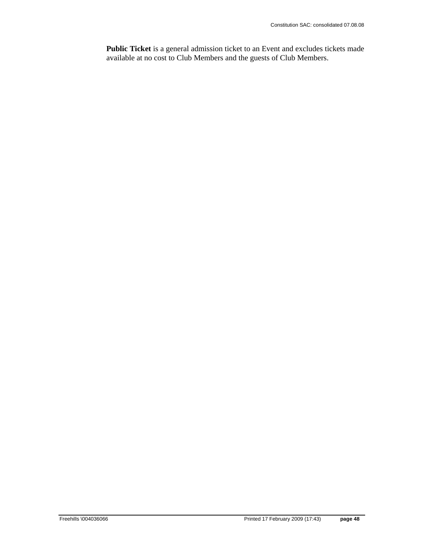**Public Ticket** is a general admission ticket to an Event and excludes tickets made available at no cost to Club Members and the guests of Club Members.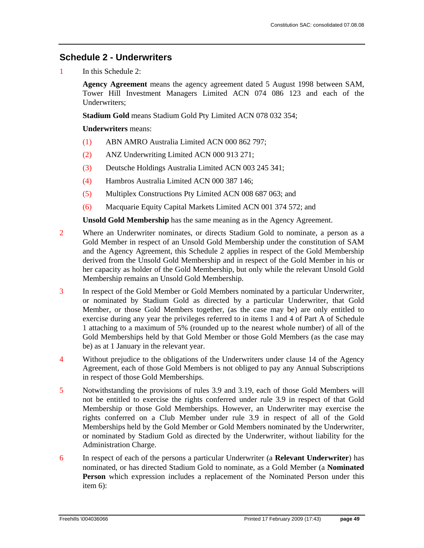### **Schedule 2 - Underwriters**

1 In this Schedule 2:

**Agency Agreement** means the agency agreement dated 5 August 1998 between SAM, Tower Hill Investment Managers Limited ACN 074 086 123 and each of the Underwriters;

**Stadium Gold** means Stadium Gold Pty Limited ACN 078 032 354;

**Underwriters** means:

- (1) ABN AMRO Australia Limited ACN 000 862 797;
- (2) ANZ Underwriting Limited ACN 000 913 271;
- (3) Deutsche Holdings Australia Limited ACN 003 245 341;
- (4) Hambros Australia Limited ACN 000 387 146;
- (5) Multiplex Constructions Pty Limited ACN 008 687 063; and
- (6) Macquarie Equity Capital Markets Limited ACN 001 374 572; and

**Unsold Gold Membership** has the same meaning as in the Agency Agreement.

- 2 Where an Underwriter nominates, or directs Stadium Gold to nominate, a person as a Gold Member in respect of an Unsold Gold Membership under the constitution of SAM and the Agency Agreement, this Schedule 2 applies in respect of the Gold Membership derived from the Unsold Gold Membership and in respect of the Gold Member in his or her capacity as holder of the Gold Membership, but only while the relevant Unsold Gold Membership remains an Unsold Gold Membership.
- 3 In respect of the Gold Member or Gold Members nominated by a particular Underwriter, or nominated by Stadium Gold as directed by a particular Underwriter, that Gold Member, or those Gold Members together, (as the case may be) are only entitled to exercise during any year the privileges referred to in items 1 and 4 of Part A of Schedule 1 attaching to a maximum of 5% (rounded up to the nearest whole number) of all of the Gold Memberships held by that Gold Member or those Gold Members (as the case may be) as at 1 January in the relevant year.
- 4 Without prejudice to the obligations of the Underwriters under clause 14 of the Agency Agreement, each of those Gold Members is not obliged to pay any Annual Subscriptions in respect of those Gold Memberships.
- 5 Notwithstanding the provisions of rules 3.9 and 3.19, each of those Gold Members will not be entitled to exercise the rights conferred under rule 3.9 in respect of that Gold Membership or those Gold Memberships. However, an Underwriter may exercise the rights conferred on a Club Member under rule 3.9 in respect of all of the Gold Memberships held by the Gold Member or Gold Members nominated by the Underwriter, or nominated by Stadium Gold as directed by the Underwriter, without liability for the Administration Charge.
- 6 In respect of each of the persons a particular Underwriter (a **Relevant Underwriter**) has nominated, or has directed Stadium Gold to nominate, as a Gold Member (a **Nominated Person** which expression includes a replacement of the Nominated Person under this item 6):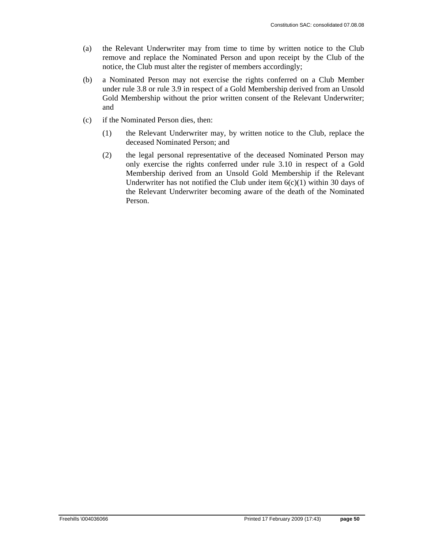- (a) the Relevant Underwriter may from time to time by written notice to the Club remove and replace the Nominated Person and upon receipt by the Club of the notice, the Club must alter the register of members accordingly;
- (b) a Nominated Person may not exercise the rights conferred on a Club Member under rule 3.8 or rule 3.9 in respect of a Gold Membership derived from an Unsold Gold Membership without the prior written consent of the Relevant Underwriter; and
- (c) if the Nominated Person dies, then:
	- (1) the Relevant Underwriter may, by written notice to the Club, replace the deceased Nominated Person; and
	- (2) the legal personal representative of the deceased Nominated Person may only exercise the rights conferred under rule 3.10 in respect of a Gold Membership derived from an Unsold Gold Membership if the Relevant Underwriter has not notified the Club under item 6(c)(1) within 30 days of the Relevant Underwriter becoming aware of the death of the Nominated Person.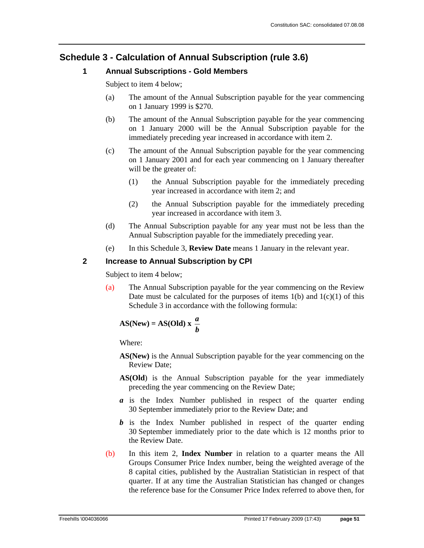### **Schedule 3 - Calculation of Annual Subscription (rule 3.6)**

### **1 Annual Subscriptions - Gold Members**

Subject to item 4 below;

- (a) The amount of the Annual Subscription payable for the year commencing on 1 January 1999 is \$270.
- (b) The amount of the Annual Subscription payable for the year commencing on 1 January 2000 will be the Annual Subscription payable for the immediately preceding year increased in accordance with item 2.
- (c) The amount of the Annual Subscription payable for the year commencing on 1 January 2001 and for each year commencing on 1 January thereafter will be the greater of:
	- (1) the Annual Subscription payable for the immediately preceding year increased in accordance with item 2; and
	- (2) the Annual Subscription payable for the immediately preceding year increased in accordance with item 3.
- (d) The Annual Subscription payable for any year must not be less than the Annual Subscription payable for the immediately preceding year.
- (e) In this Schedule 3, **Review Date** means 1 January in the relevant year.

### **2 Increase to Annual Subscription by CPI**

Subject to item 4 below;

(a) The Annual Subscription payable for the year commencing on the Review Date must be calculated for the purposes of items  $1(b)$  and  $1(c)(1)$  of this Schedule 3 in accordance with the following formula:

$$
AS(New) = AS(Old) x \frac{a}{b}
$$

Where:

- **AS(New)** is the Annual Subscription payable for the year commencing on the Review Date;
- **AS(Old**) is the Annual Subscription payable for the year immediately preceding the year commencing on the Review Date;
- *a* is the Index Number published in respect of the quarter ending 30 September immediately prior to the Review Date; and
- *b* is the Index Number published in respect of the quarter ending 30 September immediately prior to the date which is 12 months prior to the Review Date.
- (b) In this item 2, **Index Number** in relation to a quarter means the All Groups Consumer Price Index number, being the weighted average of the 8 capital cities, published by the Australian Statistician in respect of that quarter. If at any time the Australian Statistician has changed or changes the reference base for the Consumer Price Index referred to above then, for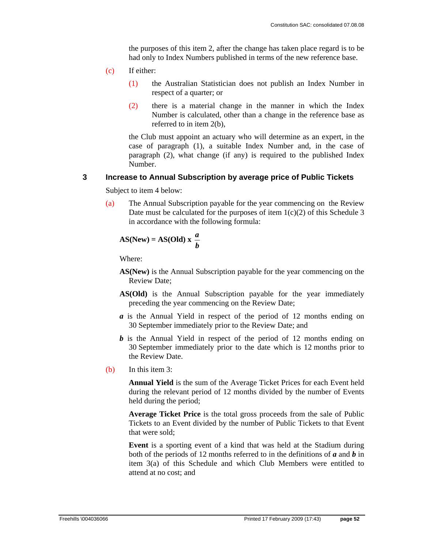the purposes of this item 2, after the change has taken place regard is to be had only to Index Numbers published in terms of the new reference base.

- (c) If either:
	- (1) the Australian Statistician does not publish an Index Number in respect of a quarter; or
	- (2) there is a material change in the manner in which the Index Number is calculated, other than a change in the reference base as referred to in item 2(b),

the Club must appoint an actuary who will determine as an expert, in the case of paragraph (1), a suitable Index Number and, in the case of paragraph (2), what change (if any) is required to the published Index Number.

#### **3 Increase to Annual Subscription by average price of Public Tickets**

Subject to item 4 below:

(a) The Annual Subscription payable for the year commencing on the Review Date must be calculated for the purposes of item  $1(c)(2)$  of this Schedule 3 in accordance with the following formula:

$$
AS(New) = AS(Old) x \frac{a}{b}
$$

Where:

- **AS(New)** is the Annual Subscription payable for the year commencing on the Review Date;
- **AS(Old)** is the Annual Subscription payable for the year immediately preceding the year commencing on the Review Date;
- *a* is the Annual Yield in respect of the period of 12 months ending on 30 September immediately prior to the Review Date; and
- *b* is the Annual Yield in respect of the period of 12 months ending on 30 September immediately prior to the date which is 12 months prior to the Review Date.
- (b) In this item 3:

**Annual Yield** is the sum of the Average Ticket Prices for each Event held during the relevant period of 12 months divided by the number of Events held during the period;

**Average Ticket Price** is the total gross proceeds from the sale of Public Tickets to an Event divided by the number of Public Tickets to that Event that were sold;

**Event** is a sporting event of a kind that was held at the Stadium during both of the periods of 12 months referred to in the definitions of *a* and *b* in item 3(a) of this Schedule and which Club Members were entitled to attend at no cost; and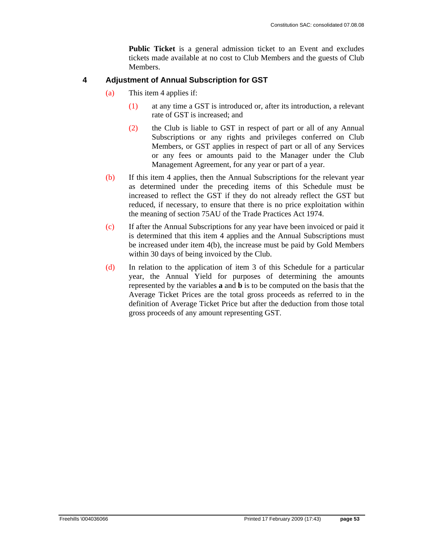**Public Ticket** is a general admission ticket to an Event and excludes tickets made available at no cost to Club Members and the guests of Club Members.

### **4 Adjustment of Annual Subscription for GST**

- (a) This item 4 applies if:
	- (1) at any time a GST is introduced or, after its introduction, a relevant rate of GST is increased; and
	- (2) the Club is liable to GST in respect of part or all of any Annual Subscriptions or any rights and privileges conferred on Club Members, or GST applies in respect of part or all of any Services or any fees or amounts paid to the Manager under the Club Management Agreement, for any year or part of a year.
- (b) If this item 4 applies, then the Annual Subscriptions for the relevant year as determined under the preceding items of this Schedule must be increased to reflect the GST if they do not already reflect the GST but reduced, if necessary, to ensure that there is no price exploitation within the meaning of section 75AU of the Trade Practices Act 1974.
- (c) If after the Annual Subscriptions for any year have been invoiced or paid it is determined that this item 4 applies and the Annual Subscriptions must be increased under item 4(b), the increase must be paid by Gold Members within 30 days of being invoiced by the Club.
- (d) In relation to the application of item 3 of this Schedule for a particular year, the Annual Yield for purposes of determining the amounts represented by the variables **a** and **b** is to be computed on the basis that the Average Ticket Prices are the total gross proceeds as referred to in the definition of Average Ticket Price but after the deduction from those total gross proceeds of any amount representing GST.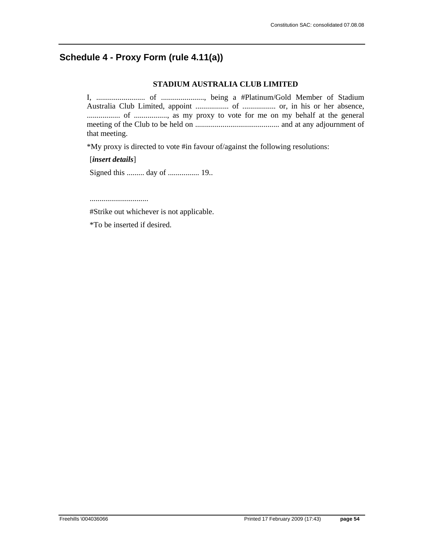### **Schedule 4 - Proxy Form (rule 4.11(a))**

### **STADIUM AUSTRALIA CLUB LIMITED**

I, ......................... of ......................, being a #Platinum/Gold Member of Stadium Australia Club Limited, appoint ................. of ................. or, in his or her absence, ................. of ................., as my proxy to vote for me on my behalf at the general meeting of the Club to be held on ........................................... and at any adjournment of that meeting.

\*My proxy is directed to vote #in favour of/against the following resolutions:

[*insert details*]

Signed this ......... day of ................ 19..

..............................

#Strike out whichever is not applicable.

\*To be inserted if desired.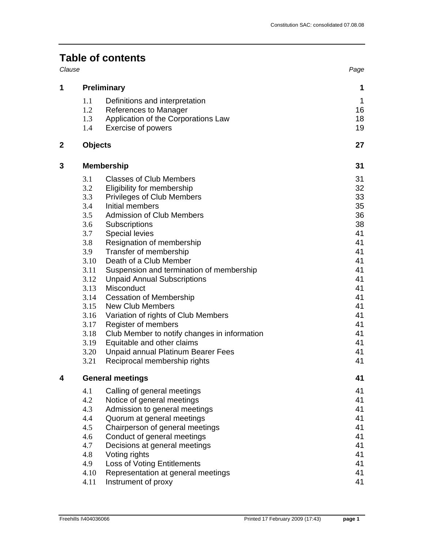## **Table of contents**

|   | Clause                  |                                                                                |             |  |
|---|-------------------------|--------------------------------------------------------------------------------|-------------|--|
| 1 | <b>Preliminary</b>      | 1                                                                              |             |  |
|   | 1.1                     | Definitions and interpretation                                                 | $\mathbf 1$ |  |
|   | 1.2                     | References to Manager                                                          | 16          |  |
|   | 1.3                     | Application of the Corporations Law                                            | 18          |  |
|   | 1.4                     | Exercise of powers                                                             | 19          |  |
| 2 | <b>Objects</b>          |                                                                                | 27          |  |
| 3 | <b>Membership</b>       | 31                                                                             |             |  |
|   | 3.1                     | <b>Classes of Club Members</b>                                                 | 31          |  |
|   | 3.2                     | Eligibility for membership                                                     | 32          |  |
|   | 3.3                     | <b>Privileges of Club Members</b>                                              | 33          |  |
|   | 3.4                     | Initial members                                                                | 35          |  |
|   | 3.5                     | <b>Admission of Club Members</b>                                               | 36          |  |
|   | 3.6                     | Subscriptions                                                                  | 38          |  |
|   | 3.7                     | <b>Special levies</b>                                                          | 41          |  |
|   | 3.8                     | Resignation of membership                                                      | 41          |  |
|   | 3.9                     | Transfer of membership                                                         | 41          |  |
|   | 3.10                    | Death of a Club Member                                                         | 41          |  |
|   | 3.11<br>3.12            | Suspension and termination of membership<br><b>Unpaid Annual Subscriptions</b> | 41<br>41    |  |
|   | 3.13                    | Misconduct                                                                     | 41          |  |
|   | 3.14                    | <b>Cessation of Membership</b>                                                 | 41          |  |
|   | 3.15                    | <b>New Club Members</b>                                                        | 41          |  |
|   | 3.16                    | Variation of rights of Club Members                                            | 41          |  |
|   | 3.17                    | Register of members                                                            | 41          |  |
|   | 3.18                    | Club Member to notify changes in information                                   | 41          |  |
|   | 3.19                    | Equitable and other claims                                                     | 41          |  |
|   | 3.20                    | Unpaid annual Platinum Bearer Fees                                             | 41          |  |
|   | 3.21                    | Reciprocal membership rights                                                   | 41          |  |
|   | <b>General meetings</b> | 41                                                                             |             |  |
|   | 4.1                     | Calling of general meetings                                                    | 41          |  |
|   | 4.2                     | Notice of general meetings                                                     | 41          |  |
|   | 4.3                     | Admission to general meetings                                                  | 41          |  |
|   | 4.4                     | Quorum at general meetings                                                     | 41          |  |
|   | 4.5                     | Chairperson of general meetings                                                | 41          |  |
|   | 4.6                     | Conduct of general meetings                                                    | 41          |  |
|   | 4.7                     | Decisions at general meetings                                                  | 41          |  |
|   | 4.8                     | Voting rights                                                                  | 41          |  |
|   | 4.9                     | <b>Loss of Voting Entitlements</b>                                             | 41          |  |
|   | 4.10                    | Representation at general meetings                                             | 41          |  |
|   | 4.11                    | Instrument of proxy                                                            | 41          |  |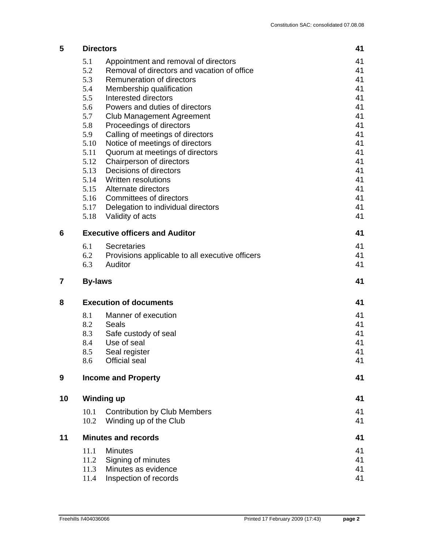| 5  | <b>Directors</b>                      |                                                                    | 41       |
|----|---------------------------------------|--------------------------------------------------------------------|----------|
|    | 5.1                                   | Appointment and removal of directors                               | 41       |
|    | 5.2                                   | Removal of directors and vacation of office                        | 41       |
|    | 5.3                                   | Remuneration of directors                                          | 41       |
|    | 5.4                                   | Membership qualification                                           | 41       |
|    | 5.5                                   | Interested directors                                               | 41       |
|    | 5.6                                   | Powers and duties of directors                                     | 41       |
|    | 5.7                                   | <b>Club Management Agreement</b>                                   | 41       |
|    | 5.8                                   | Proceedings of directors                                           | 41       |
|    | 5.9                                   | Calling of meetings of directors                                   | 41<br>41 |
|    | 5.10<br>5.11                          | Notice of meetings of directors<br>Quorum at meetings of directors | 41       |
|    | 5.12                                  | Chairperson of directors                                           | 41       |
|    | 5.13                                  | Decisions of directors                                             | 41       |
|    | 5.14                                  | Written resolutions                                                | 41       |
|    | 5.15                                  | Alternate directors                                                | 41       |
|    | 5.16                                  | Committees of directors                                            | 41       |
|    |                                       | 5.17 Delegation to individual directors                            | 41       |
|    | 5.18                                  | Validity of acts                                                   | 41       |
| 6  | <b>Executive officers and Auditor</b> | 41                                                                 |          |
|    | 6.1                                   | <b>Secretaries</b>                                                 | 41       |
|    | 6.2                                   | Provisions applicable to all executive officers                    | 41       |
|    | 6.3                                   | Auditor                                                            | 41       |
| 7  | <b>By-laws</b>                        |                                                                    | 41       |
| 8  | <b>Execution of documents</b>         | 41                                                                 |          |
|    | 8.1                                   | Manner of execution                                                | 41       |
|    | 8.2                                   | Seals                                                              | 41       |
|    | 8.3                                   | Safe custody of seal                                               | 41       |
|    | 8.4                                   | Use of seal                                                        | 41       |
|    | 8.5                                   | Seal register                                                      | 41       |
|    | 8.6                                   | <b>Official seal</b>                                               | 41       |
| 9  |                                       | <b>Income and Property</b>                                         | 41       |
| 10 | <b>Winding up</b>                     |                                                                    |          |
|    | 10.1                                  | <b>Contribution by Club Members</b>                                | 41       |
|    | 10.2                                  | Winding up of the Club                                             | 41       |
| 11 | <b>Minutes and records</b>            |                                                                    |          |
|    | 11.1                                  | <b>Minutes</b>                                                     | 41       |
|    | 11.2                                  | Signing of minutes                                                 | 41       |
|    | 11.3                                  | Minutes as evidence                                                | 41       |
|    | 11.4                                  | Inspection of records                                              | 41       |